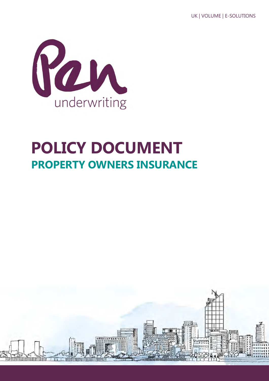

# **POLICY DOCUMENT PROPERTY OWNERS INSURANCE**

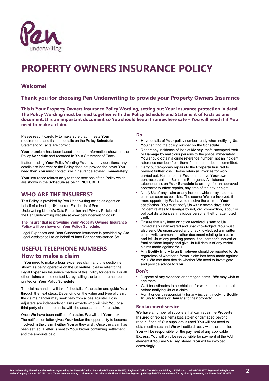

# **PROPERTY OWNERS INSURANCE POLICY**

# **Welcome!**

# **Thank you for choosing Pen Underwriting to provide your Property Owners Insurance**

**This is Your Property Owners Insurance Policy Wording, setting out Your insurance protection in detail. The Policy Wording must be read together with the Policy Schedule and Statement of Facts as one document. It is an important document so You should keep it somewhere safe – You will need it if You need to make a claim.**

Please read it carefully to make sure that it meets **Your**  requirements and that the details on the Policy **Schedule** and Statement of Facts are correct.

Your premium has been based upon the information shown in the Policy **Schedule** and recorded in **Your** Statement of Facts.

If after reading **Your** Policy Wording **You** have any questions, any details are incorrect or the Policy does not provide the cover **You**  need then **You** must contact **Your** insurance adviser **immediately**.

Your insurance relates **only** to those sections of the Policy which are shown in the **Schedule** as being **INCLUDED**.

# **WHO ARE THE INSURERS?**

This Policy is provided by Pen Underwriting acting as agent on behalf of a leading UK Insurer. For details of Pen Underwriting Limited's Data Protection and Privacy Policies visit the Pen Underwriting website at www.penunderwriting.co.uk

**The insurer that is providing Your Property Owners Insurance Policy will be shown on Your Policy Schedule.**

Legal Expenses and Rent Guarantee Insurance is provided by Arc Legal Assistance Ltd on behalf of Inter Partner Assistance SA.

# **USEFUL TELEPHONE NUMBERS How to make a claim**

If **You** need to make a legal expenses claim and this section is shown as being operative on the **Schedule**, please refer to the Legal Expenses Insurance Section of this Policy for details. For all other claims please contact **Us** by calling the telephone number printed on **Your** Policy **Schedule.** 

The claims handler will take full details of the claim and guide **You** through the next steps. Depending on the value and type of claim, the claims handler may seek help from a loss adjuster. Loss adjusters are independent claims experts who will visit **You** or a third party claimant to assist with the assessment of the claim.

Once **We** have been notified of a claim, **We** will tell **Your** broker. The notification letter gives **Your** broker the opportunity to become involved in the claim if either **You** or they wish. Once the claim has been settled, a letter is sent to **Your** broker confirming settlement and the amounts paid.

# **Do**

- Have details of **Your** policy number ready when notifying **Us**. **You** can find the policy number on the **Schedule**.
- Report any incidence of loss of **Money**, theft, attempted theft or **Damage** by malicious persons to the police immediately. **You** should obtain a crime reference number (not an incident reference number) from them if a crime has been committed.
- Carry out temporary repairs to the **Property Insured** to prevent further loss. Please retain all invoices for work carried out. Remember, if **You** do not have **Your** own contractor, call the Business Emergency Assistance telephone no. on **Your Schedule** to arrange for an approved contractor to effect repairs, any time of the day or night.
- Notify **Us** of any claim or any incident which may lead to a claim as soon as possible. The sooner **We** are involved, the more opportunity **We** have to resolve the claim to **Your** satisfaction. **You** must notify **Us** within seven days if the incident relates to **Damage** by riot, civil commotion, labour or political disturbances, malicious persons, theft or attempted theft.
- Ensure that any letter or notice received is sent to **Us** immediately unanswered and unacknowledged. **You** must also send **Us** unanswered and unacknowledged any written claim, writ, summons or other document relating to a claim and tell **Us** of any pending prosecution, coroner's inquest or fatal accident inquiry and give **Us** full details of any verbal claims made against **You**.
- Any **Bodily** I**njury** to an **Employee** should be reported to **Us** regardless of whether a formal claim has been made against **You**. **We** can then decide whether **We** need to investigate and provide advice to **You**.

# **Don't**

- Dispose of any evidence or damaged items **We** may wish to see them.
- Wait for estimates to be obtained for work to be carried out before notifying **Us** of a claim.
- Admit or deny responsibility for any incident involving **Bodily Injury** to others or **Damage** to their property.

# **Replacement service**

**We** have a number of suppliers that can repair the **Property Insured** or replace items lost, stolen or damaged beyond repair. If one of **Our** suppliers is used **You** will not need to obtain estimates and **We** will settle directly with the supplier. **You** will be responsible for the payment of any applicable **Excess**. **You** will only be responsible for payment of the VAT element if **You** are VAT registered. **You** will be invoiced accordingly.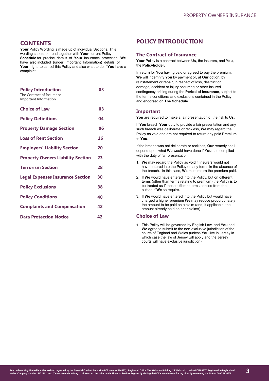# **CONTENTS**

**Your** Policy Wording is made up of individual Sections. This wording should be read together with **Your** current Policy **Schedule** for precise details of **Your** insurance protection. **We**  have also included (under Important Information) details of **Your** right to cancel this Policy and also what to do if **You** have a complaint.

| <b>Policy Introduction</b><br>The Contract of Insurance<br><b>Important Information</b> | 03 |
|-----------------------------------------------------------------------------------------|----|
| <b>Choice of Law</b>                                                                    | 03 |
| <b>Policy Definitions</b>                                                               | 04 |
| <b>Property Damage Section</b>                                                          | 06 |
| <b>Loss of Rent Section</b>                                                             | 16 |
| <b>Employers' Liability Section</b>                                                     | 20 |
| <b>Property Owners Liability Section</b>                                                | 23 |
| <b>Terrorism Section</b>                                                                | 28 |
| <b>Legal Expenses Insurance Section</b>                                                 | 30 |
| <b>Policy Exclusions</b>                                                                | 38 |
| <b>Policy Conditions</b>                                                                | 40 |
| <b>Complaints and Compensation</b>                                                      | 42 |
| <b>Data Protection Notice</b>                                                           | 42 |

# **POLICY INTRODUCTION**

# **The Contract of Insurance**

**Your** Policy is a contract between **Us**, the insurers, and **You**, the **Policyholder**.

In return for **You** having paid or agreed to pay the premium, **We** will indemnify **You** by payment or, at **Our** option, by reinstatement or repair, in respect of loss, destruction, damage, accident or injury occurring or other insured contingency arising during the **Period of Insurance**, subject to the terms conditions and exclusions contained in the Policy and endorsed on **The Schedule**.

# **Important**

**You** are required to make a fair presentation of the risk to **Us**.

If **You** breach **Your** duty to provide a fair presentation and any such breach was deliberate or reckless, **We** may regard the Policy as void and are not required to return any paid Premium to **You**.

If the breach was not deliberate or reckless, **Our** remedy shall depend upon what **We** would have done if **You** had complied with the duty of fair presentation:

- 1. **We** may regard the Policy as void if Insurers would not have entered into the Policy on any terms in the absence of the breach. In this case, **We** must return the premium paid.
- 2. If **We** would have entered into the Policy, but on different terms (other than terms relating to premium) the Policy is to be treated as if those different terms applied from the outset, if **We** so require.
- 3. If **We** would have entered into the Policy but would have charged a higher premium **We** may reduce proportionately the amount to be paid on a claim (and, if applicable, the amount already paid on prior claims)

# **Choice of Law**

1. This Policy will be governed by English Law, and **You** and **We** agree to submit to the non-exclusive jurisdiction of the courts of England and Wales (unless **You** live in Jersey in which case the law of Jersey will apply and the Jersey courts will have exclusive jurisdiction).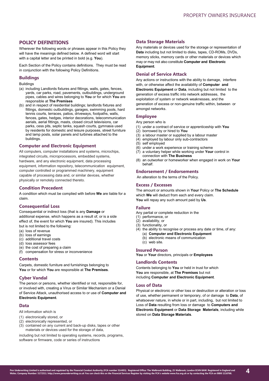# <span id="page-3-0"></span>**POLICY DEFINITIONS**

Wherever the following words or phrases appear in this Policy they will have the meanings defined below. A defined word will start with a capital letter and be printed in bold (e.g. **You**).

Each Section of the Policy contains definitions. They must be read in conjunction with the following Policy Definitions.

# **Buildings**

Buildings

- (a) including Landlords fixtures and fittings, walls, gates, fences, yards, car parks, road, pavements, outbuildings, underground pipes, cables and wires belonging to **You** or for which **You** are responsible at **The Premises**
- (b) and in respect of residential buildings; landlords fixtures and fittings, domestic outbuildings, garages, swimming pools, hard tennis courts, terraces, patios, driveways, footpaths, walls, fences, gates, hedges, interior decorations, telecommunication aerials, aerial fittings, masts, closed circuit televisions, car parks, cess pits, septic tanks, squash courts, gymnasia used by residents for domestic and leisure purposes, street furniture and lamp posts, solar panels and turbines attached to the buildings.

# **Computer and Electronic Equipment**

All computers, computer installations and systems, microchips, integrated circuits, microprocessors, embedded systems, hardware, and any electronic equipment, data processing equipment, information repository, telecommunication equipment, computer controlled or programmed machinery, equipment capable of processing data and, or similar devices, whether physically or remotely connected thereto.

# **Condition Precedent**

A condition which must be complied with before **We** are liable for a claim.

# **Consequential Loss**

Consequential or indirect loss (that is any **Damage** or additional expense, which happens as a result of, or is a side effect of, the event for which **You** are insured). This includes but is not limited to the following:

- (a) loss of revenue
- (b) loss of earnings
- (c) additional travel costs
- (d) loss assessor fees
- (e) the cost of preparing a claim
- (f) compensation for stress or inconvenience

# **Contents**

Carpets, domestic furniture and furnishings belonging to **You** or for which **You** are responsible at **The Premises**.

# **Cyber Vandal**

The person or persons, whether identified or not, responsible for, or involved with, creating a Virus or Similar Mechanism or a Denial of Service Attack, unauthorised access to or use of **Computer and Electronic Equipment**.

# **Data**

- All information which is
- (1) electronically stored, or
- (2) electronically represented, or
- (3) contained on any current and back-up disks, tapes or other materials or devices used for the storage of data,

including but not limited to operating systems, records, programs, software or firmware, code or series of instructions

# **Data Storage Materials**

Any materials or devices used for the storage or representation of **Data** including but not limited to disks, tapes, CD-ROMs, DVDs, memory sticks, memory cards or other materials or devices which may or may not also constitute **Computer and Electronic Equipment**.

# **Denial of Service Attack**

Any actions or instructions with the ability to damage, interfere with, or otherwise affect the availability of **Computer and Electronic Equipment** or **Data**, including but not limited to the generation of excess traffic into network addresses, the exploitation of system or network weaknesses, and the generation of excess or non-genuine traffic within, between or amongst networks.

# **Employee**

Any person who is

- (1) under a contract of service or apprenticeship with **You**
- (2) borrowed by or hired to **You**
- $(3)$  a labour master or supplied by a labour master
- (4) employed by labour only sub-contractors
- (5) self employed
- (6) under a work experience or training scheme
- (7) a voluntary helper while working under **Your** control in connection with **The Business**
- (8) an outworker or homeworker when engaged in work on **Your**  behalf.

# **Endorsement / Endorsements**

An alteration to the terms of the Policy.

# **Excess / Excesses**

The amount or amounts shown in **Your** Policy or **The Schedule**  which **We** will deduct from each and every claim. **You** will repay any such amount paid by **Us**.

# **Failure**

Any partial or complete reduction in the

#### (1) performance, or

- (2) availability, or
- (3) functionality, or
- (4) the ability to recognise or process any date or time, of any: (a) **Computer and Electronic Equipment**
	- (b) electronic means of communication (c) web site.
- **Insured Person**

**You** or **Your** directors, principals or **Employees**

#### **Landlords Contents**

Contents belonging to **You** or held in trust for which **You** are responsible, at **The Premises** but not including **Computer and Electronic Equipment**.

# **Loss of Data**

Physical or electronic or other loss or destruction or alteration or loss of use, whether permanent or temporary, of or damage to **Data**, of whatsoever nature, in whole or in part, including, but not limited to Loss of **Data** resulting from loss or damage to **Computers and Electronic Equipment** or **Data Storage Materials**, including while stored on **Data Storage Materials**.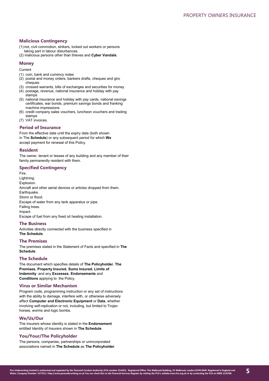# **Malicious Contingency**

- (1)riot, civil commotion, strikers, locked out workers or persons taking part in labour disturbances.
- (2) malicious persons other than thieves and **Cyber Vandals**.

# **Money**

**Current** 

- (1) coin, bank and currency notes
- (2) postal and money orders, bankers drafts, cheques and giro cheques
- (3) crossed warrants, bills of exchanges and securities for money
- (4) postage, revenue, national insurance and holiday with pay stamps
- (5) national insurance and holiday with pay cards, national savings certificates, war bonds, premium savings bonds and franking machine impressions
- (6) credit company sales vouchers, luncheon vouchers and trading stamps
- (7) VAT invoices.

# **Period of Insurance**

From the effective date until the expiry date (both shown in The **Schedule**) or any subsequent period for which **We** accept payment for renewal of this Policy.

# **Resident**

The owner, tenant or lessee of any building and any member of their family permanently resident with them.

# **Specified Contingency**

Fire. Lightning. Explosion. Aircraft and other aerial devices or articles dropped from them. Earthquake. Storm or flood. Escape of water from any tank apparatus or pipe. Falling trees. Impact. Escape of fuel from any fixed oil heating installation.

# **The Business**

Activities directly connected with the business specified in **The Schedule**.

# **The Premises**

The premises stated in the Statement of Facts and specified in **The Schedule**.

# **The Schedule**

The document which specifies details of **The Policyholder**, **The Premises**, **Property Insured**, **Sums Insured**, **Limits of Indemnity** and any **Excesses**, **Endorsements** and **Conditions** applying to the Policy.

# **Virus or Similar Mechanism**

Program code, programming instruction or any set of instructions with the ability to damage, interfere with, or otherwise adversely affect **Computer and Electronic Equipment** or **Data**, whether involving self-replication or not, including, but limited to Trojan horses, worms and logic bombs.

## **We/Us/Our**

The insurers whose identity is stated in the **Endorsement** entitled Identity of Insurers shown in **The Schedule**.

# **You/Your/The Policyholder**

The persons, companies, partnerships or unincorporated associations named in **The Schedule** as **The Policyholder**.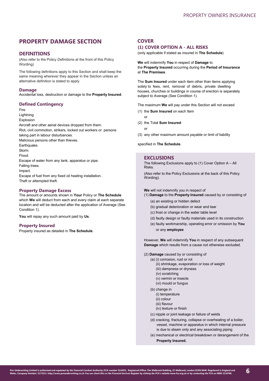# <span id="page-5-0"></span>**PROPERTY DAMAGE SECTION**

# **DEFINITIONS**

(Also refer to the Policy Definitions at the front of this Policy Wording)

The following definitions apply to this Section and shall keep the same meaning wherever they appear in the Section unless an alternative definition is stated to apply.

# **Damage**

Accidental loss, destruction or damage to the **Property Insured**.

# **Defined Contingency**

Fire

Lightning

Explosion

Aircraft and other aerial devices dropped from them. Riot, civil commotion, strikers, locked out workers or persons taking part in labour disturbances. Malicious persons other than thieves. **Earthquake** Storm. Flood. Escape of water from any tank, apparatus or pipe.

Falling trees.

Impact.

Escape of fuel from any fixed oil heating installation. Theft or attempted theft.

# **Property Damage Excess**

The amount or amounts shown in **Your** Policy or **The Schedule**  which **We** will deduct from each and every claim at each separate location and will be deducted after the application of Average (See Condition 1).

**You** will repay any such amount paid by **Us**.

# **Property Insured**

Property insured as detailed in **The Schedule**.

# **COVER**

# **(1) COVER OPTION A - ALL RISKS**

(only applicable if stated as insured in **The Schedule**)

**We** will indemnify **You** in respect of **Damage** to the **Property Insured** occurring during the **Period of Insurance** at **The Premises**.

The **Sum Insured** under each item other than items applying solely to fees, rent, removal of debris, private dwelling houses, churches or buildings in course of erection is separately subject to Average (See Condition 1).

The maximum **We** will pay under this Section will not exceed

- (1) the **Sum Insured** on each Item
- or
- (2) the Total **Sum Insured**
	- or
- (3) any other maximum amount payable or limit of liability

specified in **The Schedule**.

# **EXCLUSIONS**

The following Exclusions apply to (1) Cover Option A – All Risks.

(Also refer to the Policy Exclusions at the back of this Policy Wording).

**We** will not indemnify you in respect of

(1) **Damage** to the **Property Insured** caused by or consisting of

- (a) an existing or hidden defect
- (b) gradual deterioration or wear and tear
- (c) frost or change in the water table level
- (d) faulty design or faulty materials used in its construction
- (e) faulty workmanship, operating error or omission by **You** or any **employee**

However, **We** will indemnify **You** in respect of any subsequent **Damage** which results from a cause not otherwise excluded.

- (2) **Damage** caused by or consisting of
	- (a) (i) corrosion, rust or rot
		- (ii) shrinkage, evaporation or loss of weight
		- (iii) dampness or dryness
		- (iv) scratching
		- (v) vermin or insects
		- (vi) mould or fungus
		- (b) change in
			- (i) temperature
			- (ii) colour
			- (iii) flavour
			- (iv) texture or finish
		- (c) nipple or joint leakage or failure of welds
		- (d) cracking, fracturing, collapse or overheating of a boiler, vessel, machine or apparatus in which internal pressure is due to steam only and any associating piping
		- (e) mechanical or electrical breakdown or derangement of the **Property Insured.**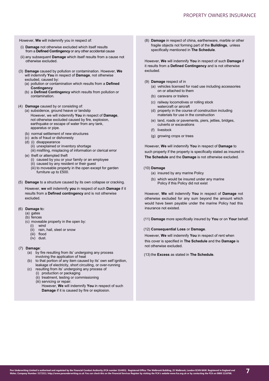However, **We** will indemnify you in respect of:

- (i) **Damage** not otherwise excluded which itself results from a **Defined Contingency** or any other accidental cause
- (ii) any subsequent **Damage** which itself results from a cause not otherwise excluded.
- (3) **Damage** caused by pollution or contamination. However, **We**  will indemnify **You** in respect of **Damage**, not otherwise excluded, caused by:
	- (a) pollution or contamination which results from a **Defined Contingency**
	- (b) a **Defined Contingency** which results from pollution or contamination.
- (4) **Damage** caused by or consisting of:
	- (a) subsidence, ground heave or landslip However, we will indemnify **You** in respect of **Damage**, not otherwise excluded caused by fire, explosion, earthquake or escape of water from any tank, apparatus or pipe.
	- (b) normal settlement of new structures
	- (c) acts of fraud or dishonesty
	- (d) (i) disappearance
		- (ii) unexplained or inventory shortage (iii) misfiling, misplacing of information or clerical error
	- (e) theft or attempted theft
		- (i) caused by you or your family or an employee
		- (ii) caused by any resident or their guest
		- (iii) to moveable property in the open except for garden furniture up to £500.
- (5) **Damage** to a structure caused by its own collapse or cracking.

However, **we** will indemnify **you** in respect of such **Damage** if it results from a **Defined contingency** and is not otherwise excluded.

- (6) **Damage t**o:
	- (a) gates
	- (b) fences
	- (c) moveable property in the open by:
		- (i) wind (ii) rain, hail, sleet or snow
		- (iii) flood
		- (iv) dust.
		-

#### (7) **Damage**:

- (a) by fire resulting from its' undergoing any process involving the application of heat
- $(b)$  to that portion of any item caused by its' own self ignition. leakage of electricity, short circuiting, or over-running
- (c) resulting from its' undergoing any process of (i) production or packaging
	- (ii) treatment, testing or commissioning
	- (iii) servicing or repair.
		- However, **We** will indemnify **You** in respect of such **Damage** if it is caused by fire or explosion.

(8) **Damage** in respect of china, earthenware, marble or other fragile objects not forming part of the **Buildings**, unless specifically mentioned in **The Schedule**.

However, **We** will indemnify **You** in respect of such **Damage** if it results from a **Defined Contingency** and is not otherwise excluded.

(9) **Damage** respect of in

- (a) vehicles licensed for road use including accessories on or attached to them
- (b) caravans or trailers
- (c) railway locomotives or rolling stock watercraft or aircraft
- (d) property in the course of construction including materials for use in the construction
- (e) land, roads or pavements, piers, jetties, bridges, culverts or excavations
- (f) livestock
- (g) growing crops or trees

However, **We** will indemnify **You** in respect of **Damage** to such property if the property is specifically stated as insured in **The Schedule** and the **Damage** is not otherwise excluded.

# (10) **Damage**

- (a) insured by any marine Policy
- (b) which would be insured under any marine Policy if this Policy did not exist

However, **We** will indemnify **You** in respect of **Damage** not otherwise excluded for any sum beyond the amount which would have been payable under the marine Policy had this insurance not existed.

(11) **Damage** more specifically insured by **You** or on **Your** behalf.

#### (12) **Consequential Loss** or **Damage**.

However, **We** will indemnify **You** in respect of rent when this cover is specified in **The Schedule** and the **Damage** is not otherwise excluded.

(13) the **Excess** as stated in **The Schedule**.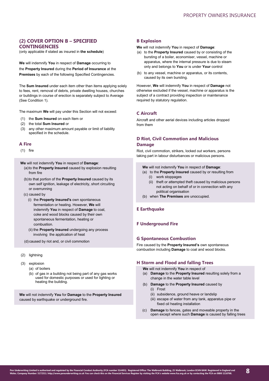# **(2) COVER OPTION B – SPECIFIED CONTINGENCIES**

(only applicable if stated as insured in **the schedule**)

**We** will indemnify **You** in respect of **Damage** occurring to the **Property Insured** during the **Period of Insurance** at the **Premises** by each of the following Specified Contingencies.

The **Sum Insured** under each item other than items applying solely to fees, rent, removal of debris, private dwelling houses, churches or buildings in course of erection is separately subject to Average (See Condition 1).

The maximum **We** will pay under this Section will not exceed:

- (1) the **Sum Insured** on each Item or
- (2) the total **Sum Insured** or
- (3) any other maximum amount payable or limit of liability specified in the schedule.

# **A Fire**

(1) fire

**We** will not indemnify **You** in respect of **Damage**:

- (a)to the **Property Insured** caused by explosion resulting from fire
- (b)to that portion of the **Property Insured** caused by its own self ignition, leakage of electricity, short circuiting or overrunning
- (c) caused by
	- (i) the **Property Insured's** own spontaneous fermentation or heating. However, **We** will indemnify **You** in respect of **Damage** to coal, coke and wood blocks caused by their own spontaneous fermentation, heating or combustion.
	- (ii) the **Property Insured** undergoing any process involving the application of heat

(d) caused by riot and, or civil commotion

- (2) lightning
- (3) explosion
	- (a) of boilers
	- (b) of gas in a building not being part of any gas works used for domestic purposes or used for lighting or heating the building.

**We** will not indemnify **You** for **Damage** to the **Property Insured**  caused by earthquake or underground fire.

# **B Explosion**

#### **We** will not indemnify **You** in respect of **Damage**:

- (a) to the **Property Insured** caused by or consisting of the bursting of a boiler, economiser, vessel, machine or apparatus, where the internal pressure is due to steam only and belongs to **You** or is under **Your** control
- (b) to any vessel, machine or apparatus, or its contents, caused by its own bursting.

However, **We** will indemnify **You** in respect of **Damage** not otherwise excluded if the vessel, machine or apparatus is the subject of a contract providing inspection or maintenance required by statutory regulation.

# **C Aircraft**

Aircraft and other aerial devices including articles dropped from them

# **D Riot, Civil Commotion and Malicious**

# **Damage**

Riot, civil commotion, strikers, locked out workers, persons taking part in labour disturbances or malicious persons.

- **We** will not indemnify **You** in respect of **Damage**:
- (a) to the **Property Insured** caused by or resulting from
	- (i) work stoppages
	- (ii) theft or attempted theft caused by malicious persons not acting on behalf of or in connection with any political organisation
- (b) when **The Premises** are unoccupied.

# **E Earthquake**

# **F Underground Fire**

# **G Spontaneous Combustion**

Fire caused by the **Property Insured's** own spontaneous combustion including **Damage** to coal and wood blocks.

## **H Storm and Flood and falling Trees**

**We** will not indemnify **You** in respect of

- (a) **Damage** to the **Property Insured** resulting solely from a change in the water table level
- (b) **Damage** to the **Property Insured** caused by (i) Frost
	- (ii) subsidence, ground heave or landslip
	- (iii) escape of water from any tank, apparatus pipe or fixed oil heating installation
- (c) **Damage** to fences, gates and moveable property in the open except where such **Damage** is caused by falling trees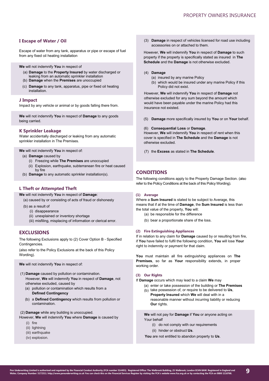# **I Escape of Water / Oil**

Escape of water from any tank, apparatus or pipe or escape of fuel from any fixed oil heating installation

**We** will not indemnify **You** in respect of

- (a) **Damage** to the **Property Insured** by water discharged or leaking from an automatic sprinkler installation
- (b) **Damage** when the **Premises** are unoccupied
- (c) **Damage** to any tank, apparatus, pipe or fixed oil heating installation.

# **J Impact**

Impact by any vehicle or animal or by goods falling there from.

**We** will not indemnify **You** in respect of **Damage** to any goods being carried.

# **K Sprinkler Leakage**

Water accidentally discharged or leaking from any automatic sprinkler installation in The Premises.

**We** will not indemnify **You** in respect of:

- (a) **Damage** caused by
	- (i) Freezing while **The Premises** are unoccupied
	- (ii) Explosion, earthquake, subterranean fire or heat caused by fire
- (b) **Damage** to any automatic sprinkler installation(s).

# **L Theft or Attempted Theft**

**We** will not indemnify **You** in respect of **Damage**:

- (a) caused by or consisting of acts of fraud or dishonesty
- (b) as a result of
	- (i) disappearance
	- (ii) unexplained or inventory shortage
	- (iii) misfiling, misplacing of information or clerical error.

# **EXCLUSIONS**

The following Exclusions apply to (2) Cover Option B - Specified Contingencies.

(also refer to the Policy Exclusions at the back of this Policy Wording).

**We** will not indemnify **You** in respect of:

- (1) **Damage** caused by pollution or contamination. However, **We** will indemnify **You** in respect of **Damage**, not otherwise excluded, caused by
	- (a) pollution or contamination which results from a **Defined Contingency**
	- (b) a **Defined Contingency** which results from pollution or contamination.

(2) **Damage** while any building is unoccupied.

- However, **We** will indemnify **You** where **Damage** is caused by
	- (i) fire
	- (ii) lightning
	- (iii) earthquake
	- (iv) explosion.

(3) **Damage** in respect of vehicles licensed for road use including accessories on or attached to them.

However, **We** will indemnify **You** in respect of **Damage** to such property if the property is specifically stated as insured in **The Schedule** and the **Damage** is not otherwise excluded.

# (4) **Damage**

- (a) insured by any marine Policy
- (b) which would be insured under any marine Policy if this Policy did not exist.

However, **We** will indemnify **You** in respect of **Damage** not otherwise excluded for any sum beyond the amount which would have been payable under the marine Policy had this insurance not existed.

(5) **Damage** more specifically insured by **You** or on **Your** behalf.

#### (6) **Consequential Loss** or **Damage**.

However, **We** will indemnify **You** in respect of rent when this cover is specified in **The Schedule** and the **Damage** is not otherwise excluded.

(7) the **Excess** as stated in **The Schedule**.

# **CONDITIONS**

The following conditions apply to the Property Damage Section. (also refer to the Policy Conditions at the back of this Policy Wording).

#### **(1) Average**

Where a **Sum Insured** is stated to be subject to Average, this means that if at the time of **Damage**, the **Sum Insured** is less than the total value of the property, **You** will:

- (a) be responsible for the difference
- (b) bear a proportionate share of the loss.

# **(2) Fire Extinguishing Appliances**

If in relation to any claim for **Damage** caused by or resulting from fire, if **You** have failed to fulfil the following condition, **You** will lose **Your**  right to indemnity or payment for that claim.

**You** must maintain all fire extinguishing appliances on **The Premises**, so far as **Your** responsibility extends, in proper working order.

#### **(3) Our Rights**

If **Damage** occurs which may lead to a claim **We** may

- (a) enter or take possession of the building or **The Premises**
- (b) take possession of, or require to be delivered to Us, **Property Insured** which **We** will deal with in a
	- reasonable manner without incurring liability or reducing **Our** rights.

**We** will not pay for **Damage** if **You** or anyone acting on Your behalf

- (i) do not comply with our requirements
- (ii) hinder or obstruct **Us**.
- **You** are not entitled to abandon property to **Us**.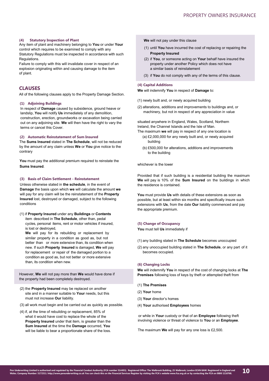#### **(4) Statutory Inspection of Plant**

Any item of plant and machinery belonging to **You** or under **Your** control which requires to be examined to comply with any Statutory Regulations must be inspected in accordance with such **Regulations** 

Failure to comply with this will invalidate cover in respect of an explosion originating within and causing damage to the item of plant.

# **CLAUSES**

All of the following clauses apply to the Property Damage Section.

#### **(1) Adjoining Buildings**

In respect of **Damage** caused by subsidence, ground heave or landslip, **You** will notify **Us** immediately of any demolition, construction, erection, groundworks or excavation being carried out on any adjoining site. **We** will then have the right to vary the terms or cancel this Cover.

## **(2) Automatic Reinstatement of Sum Insured**

The **Sums Insured** stated in **The Schedule**, will not be reduced by the amount of any claim unless **We** or **You** give notice to the contrary

**You** must pay the additional premium required to reinstate the **Sums Insured**.

#### **(3) Basis of Claim Settlement - Reinstatement**

Unless otherwise stated in **the schedule**, in the event of **Damage** the basis upon which **we** will calculate the amount **we**  will pay for any claim will be the reinstatement of the **Property Insured** lost, destroyed or damaged, subject to the following conditions

(1) if **Property Insured** under any **Buildings** or **Contents** item described in **The Schedule**, other than, pedal cycles, personal items, rent or motor vehicles if insured, is lost or destroyed,

**We** will pay for its rebuilding or replacement by similar property in a condition as good as, but not better than or more extensive than, its condition when new. If such **Property Insured** is damaged, **We** will pay for replacement or repair of the damaged portion to a condition as good as, but not better or more extensive than, its condition when new.

However, **We** will not pay more than **We** would have done if the property had been completely destroyed.

- (2) the **Property Insured** may be replaced on another site and in a manner suitable to **Your** needs, but this must not increase **Our** liability.
- (3) all work must begin and be carried out as quickly as possible.
- (4) if, at the time of rebuilding or replacement, 85% of what it would have cost to replace the whole of the **Property Insured** under that item, is greater than the **Sum Insured** at the time the **Damage** occurred, **You**  will be liable to bear a proportionate share of the loss.
- **We** will not pay under this clause
- (1) until **You** have incurred the cost of replacing or repairing the **Property Insured**
- (2) if **You**, or someone acting on **Your** behalf have insured the property under another Policy which does not have a similar basis of reinstatement
- (3) if **You** do not comply with any of the terms of this clause.

#### **(4) Capital Additions**

**We** will indemnify **You** in respect of **Damage** to:

- (1) newly built and, or newly acquired building
- (2) alterations, additions and improvements to buildings and, or machinery, but not in respect of any appreciation in value

situated anywhere in England, Wales, Scotland, Northern Ireland, the Channel Islands and the Isle of Man.

- The maximum **we** will pay in respect of any one location is (a) £2,000,000 for any newly built and, or newly acquired
	- building
	- (b) £500,000 for alterations, additions and improvements to the building

whichever is the lower

Provided that if such building is a residential building the maximum **We** will pay is 10% of the **Sum Insured** on the buildings in which the residence is contained.

**You** must provide **Us** with details of these extensions as soon as possible, but at least within six months and specifically insure such extensions with **Us**, from the date **Our** liability commenced and pay the appropriate premium.

#### **(5) Change of Occupancy**

**You** must tell **Us** immediately if

- (1) any building stated in **The Schedule** becomes unoccupied
- (2) any unoccupied building stated in **The Schedule**, or any part of it becomes occupied.

#### **(6) Changing Locks**

**We** will indemnify **You** in respect of the cost of changing locks at **The Premises** following loss of keys by theft or attempted theft from

- (1) **The Premises**
- (2) **Your** home
- (3) **Your** director's homes
- (4) **Your** authorised **Employees** homes

or while in **Your** custody or that of an **Employee** following theft involving violence or threat of violence to **You** or an **Employee**.

The maximum **We** will pay for any one loss is £2,500.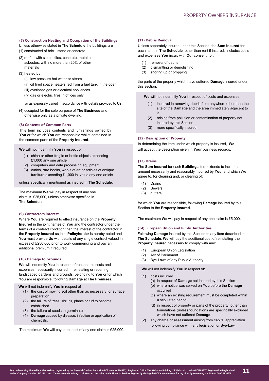# **(7) Construction Heating and Occupation of the Buildings**

- Unless otherwise stated in **The Schedule** the buildings are (1) constructed of brick, stone or concrete
- (2) roofed with slates, tiles, concrete, metal or asbestos, with no more than 20% of other materials
- (3) heated by
	- (i) low pressure hot water or steam
	- (ii) oil fired space heaters fed from a fuel tank in the open
	- (iii) overhead gas or electrical appliances
	- (iv) gas or electric fires in offices only
	- or as expressly varied in accordance with details provided to **Us**.
- (4) occupied for the sole purpose of **The Business** and otherwise only as a private dwelling.

# **(8) Contents of Common Parts**

This term includes contents and furnishings owned by **You** or for which **You** are responsible whilst contained in the common parts of the **Property Insured**.

**We** will not indemnify **You** in respect of

- (1) china or other fragile or brittle objects exceeding £1,000 any one article
- (2) computers and data processing equipment
- (3) curios, rare books, works of art or articles of antique furniture exceeding £1,000 in value any one article

unless specifically mentioned as insured in **The Schedule**.

The maximum **We** will pay in respect of any one claim is £25,000, unless otherwise specified in **The Schedule**.

# **(9) Contractors Interest**

Where **You** are required to effect insurance on the **Property Insured** in the joint names of **You** and the contractor under the terms of a contract condition then the interest of the contractor in the **Property Insured** as joint **Policyholder** is hereby noted and **You** must provide **Us** with details of any single contract valued in excess of £250,000 prior to work commencing and pay an additional premium if required.

# **(10) Damage to Grounds**

**We** will indemnify **You** in respect of reasonable costs and expenses necessarily incurred in reinstating or repairing landscaped gardens and grounds, belonging to **You** or for which **You** are responsible, following **Damage** at **The Premises**.

**We** will not indemnify **You** in respect of

- (1) the cost of moving soil other than as necessary for surface preparation
- (2) the failure of trees, shrubs, plants or turf to become established
- (3) the failure of seeds to germinate
- (4) **Damage** caused by disease, infection or application of chemicals.

The maximum **We** will pay in respect of any one claim is £25,000.

# **(11) Debris Removal**

Unless separately insured under this Section, the **Sum Insured** for each item, in **The Schedule**, other than rent if insured, includes costs and expenses **You** incur, with **Our** consent, for:

- (1) removal of debris
- (2) dismantling or demolishing
- (3) shoring up or propping

the parts of the property which have suffered **Damage** insured under this section.

**We** will not indemnify **You** in respect of costs and expenses:

- (1) incurred in removing debris from anywhere other than the site of the **Damage** and the area immediately adjacent to it
- (2) arising from pollution or contamination of property not insured by this Section
- (3) more specifically insured.

# **(12) Description of Property**

In determining the item under which property is insured, **We** will accept the description given in **Your** business records.

# **(13) Drains**

The **Sum Insured** for each **Buildings** item extends to include an amount necessarily and reasonably incurred by **You**, and which We agree to, for cleaning and, or clearing of:

- (1) Drains
- (2) Sewers
- (3) gutters

for which **You** are responsible, following **Damage** insured by this Section to the **Property Insured**.

The maximum **We** will pay in respect of any one claim is £5,000.

## **(14) European Union and Public Authorities**

Following **Damage** insured by this Section to any item described in **The Schedule**, **We** will pay the additional cost of reinstating the **Property Insured** necessary to comply with any:

- (1) European Union Legislation
- (2) Act of Parliament
- (3) Bye-Laws of any Public Authority.
- **We** will not indemnify **You** in respect of:
- (1) costs incurred
	- (a) in respect of **Damage** not insured by this Section (b) where notice was served on **You** before the **Damage** occurred
	- (c) where an existing requirement must be completed within a stipulated period
	- (d) in respect of property or parts of the property, other than foundations (unless foundations are specifically excluded) which have not suffered **Damage**.
- (2) any charge or assessment arising from capital appreciation following compliance with any legislation or Bye-Law.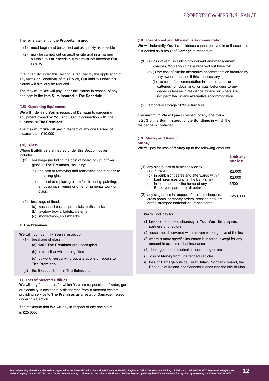#### The reinstatement of the **Property Insured**:

- (1) must begin and be carried out as quickly as possible
- (2) may be carried out on another site and in a manner suitable to **Your** needs but this must not increase **Our**  liability.

If **Our** liability under this Section is reduced by the application of any terms or Conditions of this Policy, **Our** liability under this clause will similarly be reduced.

The maximum **We** will pay under this clause in respect of any one item is the item **Sum Insured** in **The Schedule**.

# **(15) Gardening Equipment**

**We** will indemnify **You** in respect of **Damage** to gardening equipment owned by **You** and used in connection with the business at **The Premises**.

The maximum **We** will pay in respect of any one **Period of Insurance** is £10,000.

# **(16) Glass**

Where **Buildings** are insured under this Section, cover includes

- (1) breakage (including the cost of boarding up) of fixed glass at **The Premises**, including:
	- (a) the cost of removing and reinstating obstructions to replacing glass.
	- (b) the cost of replacing alarm foil, lettering, painting, embossing, silvering or other ornamental work on glass.
- (2) breakage of fixed:
	- (a) washhand basins, pedestals, baths, sinks
	- (b) lavatory bowls, bidets, cisterns
	- (c) showertrays, splashbacks

# at **The Premises**.

**We** will not indemnify **You** in respect of

- (1) breakage of glass:
	- (a) while **The Premises** are unoccupied
	- (b) in transit or while being fitted
	- (c) by workmen carrying out alterations or repairs to **The Premises**
- (2) the **Excess** stated in **The Schedule**.

# **17) Loss of Metered Utilities**

**We** will pay for charges for which **You** are responsible, if water, gas or electricity is accidentally discharged from a metered system providing service to **The Premises** as a result of **Damage** insured under this Section.

The maximum that **We** will pay in respect of any one claim is £25,000.

#### **(18) Loss of Rent and Alternative Accommodation**

**We** will indemnify **You** if a residence cannot be lived in or if access to it is denied as a result of **Damage** in respect of:

- (1) (a) loss of rent, including ground rent and management charges, **You** should have received but have lost
	- (b) (i) the cost of similar alternative accommodation incurred by any owner or lessee if this is necessary
		- (ii) the cost of accommodation in kennels and, or catteries for dogs and, or cats belonging to any owner or lessee in residence, where such pets are not permitted in any alternative accommodation.
- (2) temporary storage of **Your** furniture

The maximum **We** will pay in respect of any one claim is 25% of the **Sum Insured** for the **Buildings** in which the residence is contained.

#### **(19) Money and Assault**

#### **Money**

**We** will pay for loss of **Money** up to the following amounts

|  |                                                                                                                                                                                      | <b>Limit any</b><br>one loss |
|--|--------------------------------------------------------------------------------------------------------------------------------------------------------------------------------------|------------------------------|
|  | (1) any single loss of business Money                                                                                                                                                |                              |
|  | (a) in transit<br>in bank night safes and afterwards within<br>(b)<br>bank premises until at the bank's risk<br>(c) in Your home or the home of any<br>Employee, partner or director | £2,000                       |
|  |                                                                                                                                                                                      | £2,000                       |
|  |                                                                                                                                                                                      | £500                         |
|  | (2) any single loss in respect of crossed cheques,<br>cross postal or money orders, crossed bankers                                                                                  | £250,000                     |

#### **We** will not pay for:

- (1)losses due to the dishonesty of **You**, **Your Employees**, partners or directors
- (2) losses not discovered within seven working days of the loss
- (3) where a more specific insurance is in force, except for any amount in excess of that insurance
- (4) shortages due to clerical or accounting errors
- (5) loss of **Money** from unattended vehicles

drafts, stamped national insurance cards.

(6) loss or **Damage** outside Great Britain, Northern Ireland, the Republic of Ireland, the Channel Islands and the Isle of Man.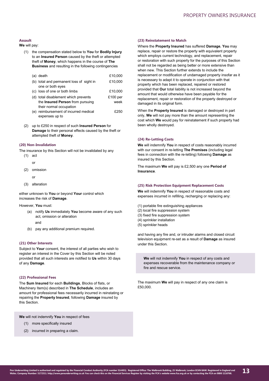# **Assault**

**We** will pay:

(1) the compensation stated below to **You** for **Bodily Injury**  to an **Insured Person** caused by the theft or attempted theft of **Money**, which happens in the course of **The Business** and resulting in the following contingencies

| (a) death                                | £10,000    |
|------------------------------------------|------------|
| (b) total and permanent loss of sight in | £10,000    |
| one or both eyes                         |            |
| (c) loss of one or both limbs            | £10,000    |
| (d) total disablement which prevents     | $£100$ per |
| the Insured Person from pursuing         | week       |
| their normal occupation                  |            |
| (e) reimbursement of incurred medical    | £250       |
|                                          |            |

expenses up to

(2) up to £250 in respect of such **Insured Person** for **Damage** to their personal effects caused by the theft or attempted theft of **Money**.

# **(20) Non-Invalidation**

The insurance by this Section will not be invalidated by any

- (1) act
	- or
- (2) omission
	- or
- (3) alteration

either unknown to **You** or beyond **Your** control which increases the risk of **Damage**.

However, **You** must:

- (a) notify **Us** immediately **You** become aware of any such act, omission or alteration
	- and
- (b) pay any additional premium required.

# **(21) Other Interests**

Subject to **Your** consent, the interest of all parties who wish to register an interest in the Cover by this Section will be noted provided that all such interests are notified to **Us** within 30 days of any **Damage**.

#### **(22) Professional Fees**

The **Sum Insured** for each **Buildings**, Blocks of flats, or Machinery Item(s) described in **The Schedule**, includes an amount for professional fees necessarily incurred in reinstating or repairing the **Property Insured**, following **Damage** insured by this Section.

**We** will not indemnify **You** in respect of fees

- (1) more specifically insured
- (2) incurred in preparing a claim.

#### **(23) Reinstatement to Match**

Where the **Property Insured** has suffered **Damage**, **You** may replace, repair or restore the property with equivalent property which employs current technology, and replacement, repair or restoration with such property for the purposes of this Section shall not be regarded as being better or more extensive than when new. This Section further extends to include the replacement or modification of undamaged property insofar as it is necessary to adapt it to operate in conjunction with that property which has been replaced, repaired or restored provided that **Our** total liability is not increased beyond the amount that would otherwise have been payable for the replacement, repair or restoration of the property destroyed or damaged in its original form.

When the **Property Insured** is damaged or destroyed in part only, **We** will not pay more than the amount representing the cost which **We** would pay for reinstatement if such property had been wholly destroyed.

#### **(24) Re-Letting Costs**

**We** will indemnify **You** in respect of costs reasonably incurred with our consent in re-letting **The Premises** (including legal fees in connection with the re-letting) following **Damage** as insured by this Section.

The maximum **We** will pay is £2,500 any one **Period of Insurance**.

# **(25) Risk Protection Equipment Replacement Costs**

**We** will indemnify **You** in respect of reasonable costs and expenses incurred in refilling, recharging or replacing any:

- (1) portable fire extinguishing appliances
- (2) local fire suppression system
- (3) fixed fire suppression system
- (4) sprinkler installation
- (5) sprinkler heads

and having any fire and, or intruder alarms and closed circuit television equipment re-set as a result of **Damage** as insured under this Section.

**We** will not indemnify **You** in respect of any costs and expenses recoverable from the maintenance company or fire and rescue service.

The maximum **We** will pay in respect of any one claim is £50,000.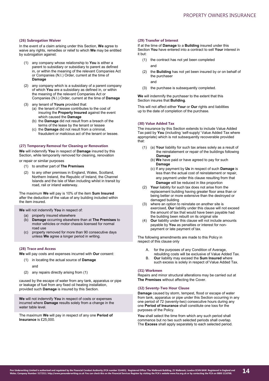#### **(26) Subrogation Waiver**

In the event of a claim arising under this Section, **We** agree to waive any rights, remedies or relief to which **We** may be entitled by subrogation against:

- (1) any company whose relationship to **You** is either a parent to subsidiary or subsidiary to parent as defined in, or within the meaning of the relevant Companies Act or Companies (N.I.) Order, current at the time of **Damage**
- (2) any company which is a subsidiary of a parent company of which **You** are a subsidiary as defined in, or within the meaning of the relevant Companies Act or Companies (N.I.) Order, current at the time of **Damage**
- (3) any tenant of **Yours** provided that:
	- (a) the tenant of lessee contributes to the cost of insuring the **Property Insured** against the event which caused the **Damage**
	- (b) the **Damage** did not result from a breach of the terms of the lease by the tenant or lessee
	- (c) the **Damage** did not result from a criminal, fraudulent or malicious act of the tenant or lessee.

# **(27) Temporary Removal for Cleaning or Renovation**

**We** will indemnify **You** in respect of **Damage** insured by this Section, while temporarily removed for cleaning, renovation

or repair or similar purposes

- (1) to another part of **The Premises**
- (2) to any other premises in England, Wales, Scotland, Northern Ireland, the Republic of Ireland, the Channel Islands and the Isle of Man including whilst in transit by road, rail or inland waterway.

The maximum **We** will pay is 10% of the item **Sum Insured** after the deduction of the value of any building included within the item insured.

**We** will not indemnify **You** in respect of:

- (a) property insured elsewhere<br>(b) **Damage** occurring elsewhe
- (b) **Damage** occurring elsewhere than at **The Premises** to motor vehicles or motor chassis licensed for normal road use
- property removed for more than 90 consecutive days unless **We** agree a longer period in writing.

# **(28) Trace and Access**

**We** will pay costs and expenses incurred with **Our** consent:

- (1) in locating the actual source of **Damage** and
- (2) any repairs directly arising from (1)

caused by the escape of water from any tank, apparatus or pipe or leakage of fuel from any fixed oil heating installation, provided such **Damage** is insured by this Section.

**We** will not indemnify **You** in respect of costs or expenses incurred where **Damage** results solely from a change in the water table level.

The maximum **We** will pay in respect of any one **Period of Insurance** is £25,000.

# **(29) Transfer of Interest**

If at the time of **Damage** to a **Building** insured under this Section **You** have entered into a contract to sell **Your** interest in it but:

- (1) the contract has not yet been completed
	- and
- (2) the **Building** has not yet been insured by or on behalf of the purchaser
	- and
- (3) the purchase is subsequently completed.

**We** will indemnify the purchaser to the extent that this Section insures that **Building**.

This will not affect either **Your** or **Our** rights and liabilities up to the date of completion of the purchase.

# **(30) Value Added Tax**

The insurance by this Section extends to include Value Added Tax paid by **You** (including 'self-supply' Value Added Tax where appropriate) which is not subsequently recoverable provided that:

- (1) (a) **Your** liability for such tax arises solely as a result of the reinstatement or repair of the buildings following **Damage**
	- (b) **We** have paid or have agreed to pay for such **Damage**
	- (c) If any payment by **Us** in respect of such **Damage** is less than the actual cost of reinstatement or repair, any payment under this clause resulting from that **Damage** will be reduced in like proportion
- (2) **Your** liability for such tax does not arise from the replacement building having greater floor area than or being better or more extensive than the destroyed or damaged building
- (3) where an option to reinstate on another site is exercised, **Our** liability under this clause will not exceed the amount of tax that would have been payable had the building been rebuilt on its original site
- (4) **Our** liability under this clause will not include amounts payable by **You** as penalties or interest for nonpayment or late payment of tax.

The following amendments are made to this Policy in respect of this clause only

- A. for the purposes of any Condition of Average,
- rebuilding costs will be exclusive of Value Added Tax. B. **Our** liability may exceed the **Sum Insured** where
- such excess is solely in respect of Value Added Tax.

# **(31) Workmen**

Repairs and minor structural alterations may be carried out at **The Premises** without affecting the Cover.

#### **(32) Seventy-Two Hour Clause**

**Damage** caused by storm, tempest, flood or escape of water from tank, apparatus or pipe under this Section occurring in any one period of 72 (seventy-two) consecutive hours during any one **Period of Insurance** shall constitute one loss for the purposes of the Policy.

**You** shall select the time from which any such period shall commence but no two such selected periods shall overlap. The **Excess** shall apply separately to each selected period.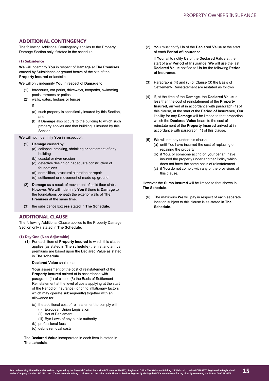# **ADDITIONAL CONTINGENCY**

The following Additional Contingency applies to the Property Damage Section only if stated in the schedule.

# **(1) Subsidence**

**We** will indemnify **You** in respect of **Damage** at **The Premises** caused by Subsidence or ground heave of the site of the **Property Insured** or landslip.

**We** will only indemnify **You** in respect of **Damage** to:

- (1) forecourts, car parks, driveways, footpaths, swimming pools, terraces or patios
- (2) walls, gates, hedges or fences
	- if
	- (a) such property is specifically insured by this Section, and
	- (b) if **Damage** also occurs to the building to which such property applies and that building is insured by this **Section**

**We** will not indemnify **You** in respect of:

- (1) **Damage** caused by:
	- (a) collapse, cracking, shrinking or settlement of any building
	- (b) coastal or river erosion
	- (c) defective design or inadequate construction of foundations
	- (d) demolition, structural alteration or repair
	- (e) settlement or movement of made up ground.
- (2) **Damage** as a result of movement of solid floor slabs. However, **We** will indemnify **You** if there is **Damage** to the foundations beneath the exterior walls of **The Premises** at the same time.
- (3) the subsidence **Excess** stated in **The Schedule**.

# **ADDITIONAL CLAUSE**

The following Additional Clause applies to the Property Damage Section only if stated in **The Schedule**.

#### **(1) Day One (Non Adjustable)**

- (1) For each item of **Property Insured** to which this clause applies (as stated in **The schedule**) the first and annual premiums are based upon the Declared Value as stated in **The schedule**.
	- **Declared Value** shall mean:

**Your** assessment of the cost of reinstatement of the **Property Insured** arrived at in accordance with paragraph (1) of clause (3) the Basis of Settlement-Reinstatement at the level of costs applying at the start of the Period of Insurance (ignoring inflationary factors which may operate subsequently) together with an allowance for

- (a) the additional cost of reinstatement to comply with
	- (i) European Union Legislation
	- (ii) Act of Parliament
	- (iii) Bye-Laws of any public authority
- (b) professional fees
- (c) debris removal costs.

The **Declared Value** incorporated in each item is stated in **The schedule**.

(2) **You** must notify **Us** of the **Declared Value** at the start of each **Period of Insurance**.

If **You** fail to notify **Us** of the **Declared Value** at the start of any **Period of Insurance**, **We** will use the last **Declared Value** notified to **Us** for the following **Period of Insurance**.

- (3) Paragraphs (4) and (5) of Clause (3) the Basis of Settlement- Reinstatement are restated as follows
- (4) if, at the time of the **Damage**, the **Declared Value** is less than the cost of reinstatement of the **Property Insured**, arrived at in accordance with paragraph (1) of this clause, at the start of the **Period of Insurance**, **Our**  liability for any **Damage** will be limited to that proportion which the **Declared Value** bears to the cost of reinstatement of the **Property Insured** arrived at in accordance with paragraph (1) of this clause.
- (5) **We** will not pay under this clause
	- (a) until You have incurred the cost of replacing or repairing the property
	- (b) if **You**, or someone acting on your behalf, have insured the property under another Policy which does not have the same basis of reinstatement
	- (c) if **You** do not comply with any of the provisions of this clause.

However the **Sums Insured** will be limited to that shown in **The Schedule**.

(6) The maximum **We** will pay in respect of each separate location subject to this clause is as stated in **The Schedule**.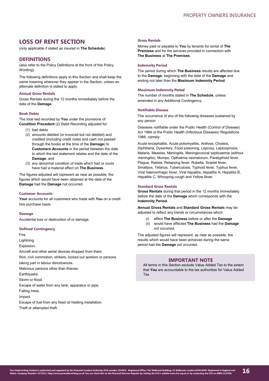# **LOSS OF RENT SECTION**

(only applicable if stated as insured in **The Schedule**)

# **DEFINITIONS**

(also refer to the Policy Definitions at the front of this Policy Wording).

The following definitions apply to this Section and shall keep the same meaning wherever they appear in the Section, unless an alternate definition is stated to apply.

# **Annual Gross Rentals**

Gross Rentals during the 12 months immediately before the date of the **Damage**.

# **Book Debts**

The total last recorded by **You** under the provisions of **Condition Precedent** (2) Debit Recording adjusted for:

- (1) bad debts
- (2) amounts debited (or invoiced but not debited) and credited (including credit notes and cash not passed through the books at the time of the **Damage**) to **Customers Accounts** in the period between the date to which the last statement relates and the date of the **Damage**, and
- (3) any abnormal condition of trade which had or could have had a material effect on **The Business**.

The figures adjusted will represent as near as possible, the figures which would have been obtained at the date of the **Damage** had the **Damage** not occurred.

#### **Customer Accounts**

**Your** accounts for all customers who trade with **You** on a credit hire purchase basis.

#### **Damage**

Accidental loss or destruction of or damage.

#### **Defined Contingency**

Fire.

Lightning.

Explosion.

Aircraft and other aerial devices dropped from them. Riot, civil commotion, strikers, locked out workers or persons taking part in labour disturbances. Malicious persons other than thieves. Earthquake. Storm or flood. Escape of water from any tank, apparatus or pipe.

Falling trees.

Impact.

Escape of fuel from any fixed oil heating installation.

Theft or attempted theft.

## **Gross Rentals**

Money paid or payable to **You** by tenants for rental of **The Premises** and for the services provided in connection with **The Business** at **The Premises**.

## **Indemnity Period**

The period during which **The Business** results are affected due to the **Damage**, beginning with the date of the **Damage** and ending not later than the **Maximum Indemnity Period**.

## **Maximum Indemnity Period**

The number of months stated in **The Schedule**, unless amended in any Additional Contingency.

#### **Notifiable Disease**

The occurrence of any of the following diseases sustained by any person

Diseases notifiable under the Public Health (Control of Disease) Act 1984 or the Public Health (Infectious Diseases) Regulations 1988, namely:

Acute encephalitis, Acute poliomyelitis, Anthrax, Cholera, Diphtheria, Dysentery, Food poisoning, Leprosy, Leptospirosis, Malaria, Measles, Meningitis, Meningococcal septicaemia (without meningitis), Mumps, Opthalmia neonatorum, Paratyphoid fever, Plague, Rabies, Relapsing fever, Rubella, Scarlet fever, Smallpox, Tetanus, Tuberculosis, Typhoid fever, Typhus fever, Viral haemorrhagic fever, Viral hepatitis, Hepatitis A, Hepatitis B, Hepatitis C, Whooping cough and Yellow fever.

# **Standard Gross Rentals**

**Gross Rentals** during that period in the 12 months immediately before the date of the **Damage** which corresponds with the **Indemnity Period**.

**Annual Gross Rentals** and **Standard Gross Rentals** may be adjusted to reflect any trends or circumstances which

- (i) affect **The Business** before or after the **Damage**
- (ii) would have affected **The Business** had the **Damage** not occurred.

The adjusted figures will represent, as near as possible, the results which would have been achieved during the same period had the **Damage** not occurred.

# **IMPORTANT NOTE**

All terms in this Section exclude Value Added Tax to the extent that **You** are accountable to the tax authorities for Value Added Tax.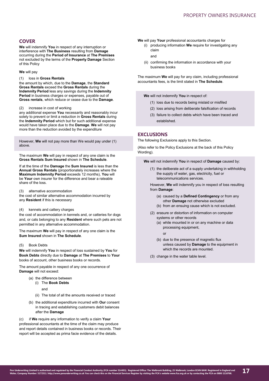# **COVER**

**We** will indemnify **You** in respect of any interruption or interference with **The Business** resulting from **Damage**  occurring during the **Period of Insurance** at **The Premises** not excluded by the terms of the **Property Damage** Section of this Policy

#### **We** will pay

#### (1) loss in **Gross Rentals**

the amount by which, due to the **Damage**, the **Standard Gross Rentals** exceed the **Gross Rentals** during the **Indemnity Period** less any savings during the **Indemnity** Period in business charges or expenses, payable out of **Gross rentals**, which reduce or cease due to the **Damage**.

#### (2) increase in cost of working

any additional expense **You** necessarily and reasonably incur solely to prevent or limit a reduction in **Gross Rentals** during the **Indemnity Period** which but for such additional expense would have taken place due to the **Damage**. **We** will not pay more than the reduction avoided by the expenditure

However, **We** will not pay more than We would pay under (1) above.

The maximum **We** will pay in respect of any one claim is the **Gross Rentals Sum Insured** shown in **The Schedule**.

If at the time of the **Damage** the **Sum Insured** is less than the **Annual Gross Rentals** (proportionately increases where the **Maximum Indemnity Period** exceeds 12 months), **You** will be **Your** own insurer for the difference and bear a rateable share of the loss.

(3) alternative accommodation

the cost of similar alternative accommodation incurred by any **Resident** if this is necessary

# (4) kennels and cattery charges

the cost of accommodation in kennels and, or catteries for dogs and, or cats belonging to any **Resident** where such pets are not permitted in any alternative accommodation.

The maximum **We** will pay in respect of any one claim is the **Sum Insured** shown in **The Schedule**.

# (5) Book Debts

**We** will indemnify **You** in respect of loss sustained by **You** for **Book Debts** directly due to **Damage** at **The Premises** to **Your**  books of account, other business books or records.

The amount payable in respect of any one occurrence of **Damage** will not exceed:

- (a) the difference between
	- (i) The **Book Debts**

and

- (ii) The total of all the amounts received or traced
- (b) the additional expenditure incurred with **Our** consent in tracing and establishing customers debit balances after the **Damage**

(c) if **We** require any information to verify a claim **Your**  professional accountants at the time of the claim may produce and report details contained in business books or records. Their report will be accepted as prima facie evidence of the details.

- **We** will pay **Your** professional accountants charges for
	- (i) producing information **We** require for investigating any claim

and

(ii) confirming the information in accordance with your business books

The maximum **We** will pay for any claim, including professional accountants fees, is the limit stated in **The Schedule**.

**We** will not indemnify **You** in respect of:

- (1) loss due to records being mislaid or misfiled
- (2) loss arising from deliberate falsification of records
- (3) failure to collect debts which have been traced and established.

# **EXCLUSIONS**

The following Exclusions apply to this Section.

(Also refer to the Policy Exclusions at the back of this Policy Wording).

**We** will not indemnify **You** in respect of **Damage** caused by:

(1) the deliberate act of a supply undertaking in withholding the supply of water, gas, electricity, fuel or telecommunications services.

However, **We** will indemnify you in respect of loss resulting from **Damage**:

- (a) caused by a **Defined Contingency** or from any other **Damage** not otherwise excluded
- (b) from an ensuing cause which is not excluded.
- (2) erasure or distortion of information on computer systems or other records
	- (a) while mounted in or on any machine or data processing equipment,

or

(b) due to the presence of magnetic flux unless caused by **Damage** to the equipment in which the records are mounted.

(3) change in the water table level.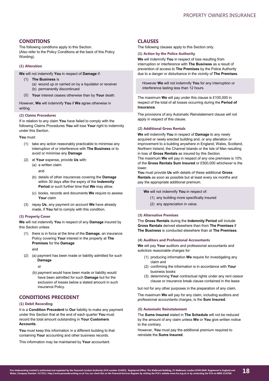# **CONDITIONS**

The following conditions apply to this Section. (Also refer to the Policy Conditions at the back of this Policy Wording).

# **(1) Alteration**

**We** will not indemnify **You** in respect of **Damage** if:

- (1) **The Business** is (a) wound up or carried on by a liquidator or receiver (b) permanently discontinued
- **Your** interest ceases otherwise than by **Your** death. (2)

However, **We** will indemnify **You** if **We** agree otherwise in writing.

#### **(2) Claims Procedures**

If in relation to any claim **You** have failed to comply with the following Claims Procedures **You** will lose **Your** right to indemnity under this Section.

#### **You** must:

- (1) take any action reasonably practicable to minimise any interruption of or interference with **The Business** or to avoid or minimise any **Damage**
- (2) at **Your** expense, provide **Us** with: (a) a written claim
	- and
	- (b) details of other insurances covering the **Damage** within 30 days after the expiry of the **Indemnity Period** or such further time that **We** may allow.
	- (c) books, records and documents **We** require to assess **Your** claim
- (3) repay **Us**, any payment on account **We** have already made, if **You** fail to comply with this condition.

#### **(3) Property Cover**

**We** will not indemnify **You** in respect of any **Damage** insured by this Section unless

(1) there is in force at the time of the **Damage**, an insurance Policy covering **Your** interest in the property at **The Premises** for the **Damage**

and

(2) (a) payment has been made or liability admitted for such **Damage**

or

(b) payment would have been made or liability would have been admitted for such **Damage** but for the exclusion of losses below a stated amount in such insurance Policy.

# **CONDITIONS PRECEDENT**

# **(1) Debit Recording**

It is a **Condition Precedent** to **Our** liability to make any payment under this Section that at the end of each quarter **You** must record the total amount outstanding in **Your Customers Accounts**.

**You** must keep this information in a different building to that containing **Your** accounting and other business records.

This information may be maintained by **Your** accountant.

# **CLAUSES**

The following clauses apply to this Section only.

# **(1) Action by the Police Authority**

**We** will indemnify **You** in respect of loss resulting from interruption or interference with **The Business** as a result of prevention of access to **The Premises** by the Police Authority due to a danger or disturbance in the vicinity of **The Premises**.

However **We** will not indemnify **You** for any interruption or interference lasting less than 12 hours.

The maximum **We** will pay under this clause is £100,000 in respect of the total of all losses occurring during the **Period of Insurance**.

The provisions of any Automatic Reinstatement clause will not apply in respect of this clause.

# **(2) Additional Gross Rentals**

**We** will indemnify **You** in respect of **Damage** to any newly acquired or newly erected building and, or any alteration or improvement to a building anywhere in England, Wales, Scotland, Northern Ireland, the Channel Islands or the Isle of Man resulting in loss of **Gross Rentals** as insured by this Section.

The maximum **We** will pay in respect of any one premises is 10% of the **Gross Rentals Sum Insured** or £500,000 whichever is the lower.

**You** must provide **Us** with details of these additional **Gross Rentals** as soon as possible but at least every six months and pay the appropriate additional premium.

**We** will not indemnify **You** in respect of:

- (1) any building more specifically insured
- (2) any appreciation in value.

## **(3) Alternative Premises**

The **Gross Rentals** during the **Indemnity Period** will include **Gross Rentals** derived elsewhere than from **The Premises** if **The Business** is conducted elsewhere than at **The Premises**.

## **(4) Auditors and Professional Accountants**

**We** will pay **Your** auditors and professional accountants and solicitors reasonable charges for

- (1) producing information **We** require for investigating any claim and
- (2) confirming the information is in accordance with **Your** business books
- (3) determining **Your** contractual rights under any rent cessor clause or insurance break clause contained in the lease

but not for any other purposes in the preparation of any claim.

The maximum **We** will pay for any claim, including auditors and professional accountants charges, is the **Sum Insured**.

# **(5) Automatic Reinstatement**

The **Sums Insured** stated in **The Schedule** will not be reduced by the amount of any claim unless **We** or **You** give written notice to the contrary.

However, **You** must pay the additional premium required to reinstate the **Sums Insured**.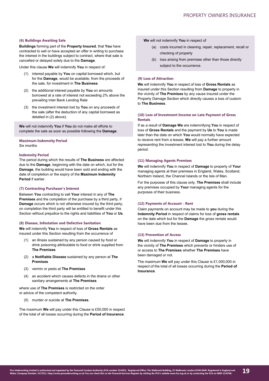## **(6) Buildings Awaiting Sale**

**Buildings** forming part of the **Property Insured**, that **You** have contracted to sell or have accepted an offer in writing to purchase the interest in the buildings subject to contract, where that sale is cancelled or delayed solely due to the **Damage**.

Under this clause **We** will indemnify **You** in respect of:

- interest payable by **You** on capital borrowed which, but for the **Damage**, would be available, from the proceeds of the sale, for investment in **The Business**
- (2) the additional interest payable by **You** on amounts borrowed at a rate of interest not exceeding 2% above the prevailing Inter Bank Lending Rate
- (3) the investment interest lost by **You** on any proceeds of the sale (after the deduction of any capital borrowed as detailed in (2) above).

**We** will not indemnify **You** if **You** do not make all efforts to complete the sale as soon as possible following the **Damage**.

#### **Maximum Indemnity Period** Six months

# **Indemnity Period**

The period during which the results of **The Business** are affected due to the **Damage**, beginning with the date on which, but for the **Damage**, the building would have been sold and ending with the date of completion or the expiry of the **Maximum Indemnity Period** if earlier.

#### **(7) Contracting Purchaser's Interest**

Between **You** contracting to sell **Your** interest in any of **The Premises** and the completion of the purchase by a third party, if **Damage** occurs which is not otherwise insured by the third party, on completion the third party will be entitled to benefit under this Section without prejudice to the rights and liabilities of **You** or **Us**.

#### **(8) Disease, Infestation and Defective Sanitation**

**We** will indemnify **You** in respect of loss of **Gross Rentals** as insured under this Section resulting from the occurrence of

- (1) an illness sustained by any person caused by food or drink poisoning attributable to food or drink supplied from **The Premises**
- (2) a **Notifiable Disease** sustained by any person at **The Premises**
- (3) vermin or pests at **The Premises**
- (4) an accident which causes defects in the drains or other sanitary arrangements at **The Premises**

where use of **The Premises** is restricted on the order or advice of the competent authority.

(5) murder or suicide at **The Premises**.

The maximum **We** will pay under this Clause is £50,000 in respect of the total of all losses occurring during the **Period of Insurance**.

**We** will not indemnify **You** in respect of

- (a) costs incurred in cleaning, repair, replacement, recall or checking of property
- (b) loss arising from premises other than those directly subject to the occurrence.

# **(9) Loss of Attraction**

**We** will indemnify **You** in respect of loss of **Gross Rentals** as insured under this Section resulting from **Damage** to property in the vicinity of **The Premises** by any cause insured under the Property Damage Section which directly causes a loss of custom to **The Business**.

## **(10) Loss of Investment Income on Late Payment of Gross Rentals**

If as a result of **Damage We** are indemnifying **You** in respect of loss of **Gross Rentals** and the payment by **Us** to **You** is made later than the date on which **You** would normally have expected to receive rent from a lessee, **We** will pay a further amount representing the investment interest lost to **You** during the delay period.

#### **(11) Managing Agents Premises**

**We** will indemnify **You** in respect of **Damage** to property of **Your** managing agents at their premises in England, Wales, Scotland, Northern Ireland, the Channel Islands or the Isle of Man.

For the purposes of this clause only, **The Premises** shall include any premises occupied by **Your** managing agents for the purposes of their business.

#### **(12) Payments of Account - Rent**

Claim payments on account may be made to **you** during the **Indemnity Period** in respect of claims for loss of **gross rentals** on the date which but for the **Damage** the gross rentals would have been due from the lessee.

# **(13) Prevention of Access**

**We** will indemnify **You** in respect of **Damage** to property in the vicinity of **The Premises** which prevents or hinders use of or access to **The Premises** whether **The Premises** have been damaged or not.

The maximum **We** will pay under this Clause is £1,000,000 in respect of the total of all losses occurring during the **Period of Insurance**.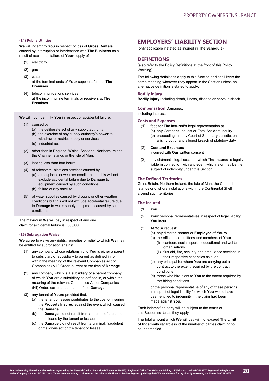# **(14) Public Utilities**

**We** will indemnify **You** in respect of loss of **Gross Rentals** caused by interruption or interference with **The Business** as a result of accidental failure of **Your** supply of

- (1) electricity
- (2) gas
- (3) water

at the terminal ends of **Your** suppliers feed to **The Premises**.

(4) telecommunications services at the incoming line terminals or receivers at **The Premises**.

**We** will not indemnify **You** in respect of accidental failure:

- (1) caused by:
	- (a) the deliberate act of any supply authority
	- (b) the exercise of any supply authority's power to withdraw or restrict supply or services
	- (c) industrial action.
- (2) other than in England, Wales, Scotland, Northern Ireland, the Channel Islands or the Isle of Man.
- (3) lasting less than four hours.
- (4) of telecommunications services caused by
	- (a) atmospheric or weather conditions but this will not exclude accidental failure due to **Damage** to equipment caused by such conditions.
	- (b) failure of any satellite.
- (5) of water supplies caused by drought or other weather conditions but this will not exclude accidental failure due to **Damage** to water supply equipment caused by such conditions.

The maximum **We** will pay in respect of any one claim for accidental failure is £50,000.

#### **(15) Subrogation Waiver**

**We** agree to waive any rights, remedies or relief to which **We** may be entitled by subrogation against

- (1) any company whose relationship to **You** is either a parent to subsidiary or subsidiary to parent as defined in, or within the meaning of the relevant Companies Act or Companies (N.I.) Order, current at the time of **Damage**.
- (2) any company which is a subsidiary of a parent company of which **You** are a subsidiary as defined in, or within the meaning of the relevant Companies Act or Companies (NI) Order, current at the time of the **Damage**.
- (3) any tenant of **Yours** provided that:
	- (a) the tenant or lessee contributes to the cost of insuring the **Property Insured** against the event which caused the **Damage**
	- (b) the **Damage** did not result from a breach of the terms of the lease by the tenant or lessee
	- (c) the **Damage** did not result from a criminal, fraudulent or malicious act or the tenant or lessee.

# **EMPLOYERS' LIABILITY SECTION**

(only applicable if stated as insured in **The Schedule**)

# **DEFINITIONS**

(also refer to the Policy Definitions at the front of this Policy Wording).

The following definitions apply to this Section and shall keep the same meaning wherever they appear in the Section unless an alternative definition is stated to apply.

# **Bodily Injury**

**Bodily Injury** including death, illness, disease or nervous shock.

# **Compensation** Damages,

including interest.

# **Costs and Expenses**

- (1) fees for **The Insured's** legal representation at
	- (a) any Coroner's Inquest or Fatal Accident Inquiry (b) proceedings in any Court of Summary Jurisdiction arising out of any alleged breach of statutory duty
- (2) **Cost and Expenses** incurred with **Our** written consent
- (3) any claimant's legal costs for which **The Insured** is legally liable in connection with any event which is or may be the subject of indemnity under this Section.

#### **The Defined Territories**

Great Britain, Northern Ireland, the Isle of Man, the Channel Islands or offshore installations within the Continental Shelf around such territories.

#### **The Insured**

- (1) **You**.
- (2) **Your** personal representatives in respect of legal liability **You** incur.
- (3) At **Your** request:
	- (a) any director, partner or **Employee** of **Yours**
	- (b) the officers, committees and members of **Your**: (i) canteen, social, sports, educational and welfare
		- organisations (ii) first aid, fire, security and ambulance services in their respective capacities as such
	- (c) any principal for whom **You** are carrying out a contract to the extent required by the contract conditions
	- (d) those who hire plant to **You** to the extent required by the hiring conditions

or the personal representative of any of these persons in respect of legal liability for which **You** would have been entitled to indemnity if the claim had been made against **You**.

Each indemnified party will be subject to the terms of this Section so far as they apply.

The total amount which **We** will pay will not exceed **The Limit of Indemnity** regardless of the number of parties claiming to be indemnified.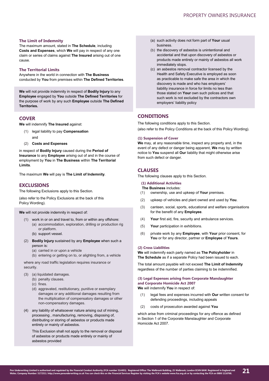# **The Limit of Indemnity**

The maximum amount, stated in **The Schedule**, including **Costs and Expenses**, which **We** will pay in respect of any one claim or series of claims against **The Insured** arising out of one cause.

# **The Territorial Limits**

Anywhere in the world in connection with **The Business** conducted by **You** from premises within **The Defined Territories**.

**We** will not provide indemnity in respect of **Bodily Injury** to any **Employee** engaged by **You** outside **The Defined Territories** for the purpose of work by any such **Employee** outside **The Defined Territories.**

# **COVER**

**We** will indemnify **The Insured** against:

- (1) legal liability to pay **Compensation** and
- (2) **Costs and Expenses**

in respect of **Bodily Injury** caused during the **Period of Insurance** to any **Employee** arising out of and in the course of employment by **You** in **The Business** within **The Territorial Limits**.

The maximum **We** will pay is **The Limit of Indemnity**.

# **EXCLUSIONS**

The following Exclusions apply to this Section.

(also refer to the Policy Exclusions at the back of this Policy Wording).

**We** will not provide indemnity in respect of:

- (1) work in or on and travel to, from or within any offshore: (a) accommodation, exploration, drilling or production rig or platform.
	- (b) support vessel.
- (2) **Bodily Injury** sustained by any **Employee** when such a person is:
	- (a) carried in or upon a vehicle
	- (b) entering or getting on to, or alighting from, a vehicle

where any road traffic legislation requires insurance or security.

- (3) (a) liquidated damages.
	- (b) penalty clauses.
	- (c) fines.
	- (d) aggravated, restitutionary, punitive or exemplary damages or any additional damages resulting from the multiplication of compensatory damages or other non-compensatory damages.
- (4) any liability of whatsoever nature arising out of mining, processing , manufacturing, removing, disposing of, distributing or storing of asbestos or products made entirely or mainly of asbestos.

This Exclusion shall not apply to the removal or disposal of asbestos or products made entirely or mainly of asbestos provided

- (a) such activity does not form part of **Your** usual business.
- (b) the discovery of asbestos is unintentional and accidental and that upon discovery of asbestos or products made entirely or mainly of asbestos all work immediately stops.
- (c) an asbestos removal contractor licensed by the Health and Safety Executive is employed as soon as practicable to make safe the area in which the discovery is made and who has employers' liability insurance in force for limits no less than those stated on **Your** own such polices and that such work is not excluded by the contractors own employers' liability policy

# **CONDITIONS**

The following conditions apply to this Section.

(also refer to the Policy Conditions at the back of this Policy Wording).

#### **(1) Suspension of Cover**

**We** may, at any reasonable time, inspect any property and, in the event of any defect or danger being apparent, **We** may by written notice to **You** suspend all **Our** liability that might otherwise arise from such defect or danger.

# **CLAUSES**

The following clauses apply to this Section.

# **(1) Additional Activities**

- **The Business** includes:
- (1) ownership, use and upkeep of **Your** premises.
- (2) upkeep of vehicles and plant owned and used by **You**.
- (3) canteen, social, sports, educational and welfare organisations for the benefit of any **Employee**.
- (4) **Your** first aid, fire, security and ambulance services.
- (5) **Your** participation in exhibitions.
- (6) private work by any **Employee**, with **Your** prior consent, for **You** or for any director, partner or **Employee** of **Yours**.

# **(2) Cross Liabilities**

**We** will indemnify each party named as **The Policyholder** in **The Schedule** as if a separate Policy had been issued to each.

The total amount payable will not exceed **The Limit of Indemnity** regardless of the number of parties claiming to be indemnified.

# **(3) Legal Expenses arising from Corporate Manslaughter and Corporate Homicide Act 2007**

**We** will indemnify **You** in respect of:

- (1) legal fees and expenses incurred with **Our** written consent for defending proceedings, including appeals
- (2) costs of prosecution awarded against **You**

which arise from criminal proceedings for any offence as defined in Section 1 of the Corporate Manslaughter and Corporate Homicide Act 2007.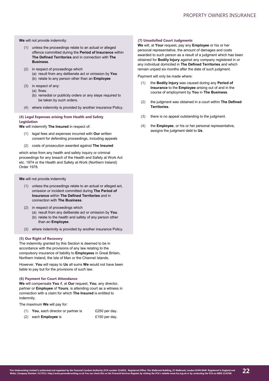**We** will not provide indemnity:

- (1) unless the proceedings relate to an actual or alleged offence committed during the **Period of Insurance** within **The Defined Territories** and in connection with **The Business**.
- (2) in respect of proceedings which (a) result from any deliberate act or omission by **You** (b) relate to any person other than an **Employee**
- (3) in respect of any:
	- (a) fines.
	- (b) remedial or publicity orders or any steps required to be taken by such orders.
- (4) where indemnity is provided by another insurance Policy.

# **(4) Legal Expenses arising from Health and Safety Legislation**

**We** will indemnify **The Insured** in respect of:

- (1) legal fees and expenses incurred with **Our** written consent for defending proceedings, including appeals
- (2) costs of prosecution awarded against **The Insured**

which arise from any health and safety inquiry or criminal proceedings for any breach of the Health and Safety at Work Act etc. 1974 or the Health and Safety at Work (Northern Ireland) Order 1978.

**We** will not provide indemnity

- (1) unless the proceedings relate to an actual or alleged act, omission or incident committed during **The Period of Insurance** within **The Defined Territories** and in connection with **The Business**.
- (2) in respect of proceedings which
	- (a) result from any deliberate act or omission by **You**. (b) relate to the health and safety of any person other than an **Employee**.
- (3) where indemnity is provided by another insurance Policy.

#### **(5) Our Right of Recovery**

The indemnity granted by this Section is deemed to be in accordance with the provisions of any law relating to the compulsory insurance of liability to **Employees** in Great Britain, Northern Ireland, the Isle of Man or the Channel Islands.

However, **You** will repay to **Us** all sums **We** would not have been liable to pay but for the provisions of such law.

#### **(6) Payment for Court Attendance**

**We** will compensate **You** if, at **Our** request, **You**, any director, partner or **Employee** of **Yours**, is attending court as a witness in connection with a claim for which **The Insured** is entitled to indemnity.

The maximum **We** will pay for:

- (1) **You**, each director or partner is £250 per day.
- (2) each **Employee** is **Entitled Example 20 and E150 per day.**

#### **(7) Unsatisfied Court Judgments**

**We** will, at **Your** request, pay any **Employee** or his or her personal representative, the amount of damages and costs awarded to such person as a result of a judgment which has been obtained for **Bodily Injury** against any company registered in or any individual domiciled in **The Defined Territories** and which remain unpaid six months after the date of such judgment.

Payment will only be made where:

- (1) the **Bodily Injury** was caused during any **Period of Insurance** to the **Employee** arising out of and in the course of employment by **You** in **The Business**.
- (2) the judgment was obtained in a court within **The Defined Territories**.
- (3) there is no appeal outstanding to the judgment.
- (4) the **Employee**, or his or her personal representative, assigns the judgment debt to **Us**.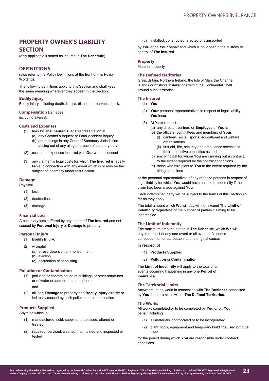# **PROPERTY OWNER'S LIABILITY SECTION**

(only applicable if stated as insured in **The Schedule**)

# **DEFINITIONS**

(also refer to the Policy Definitions at the front of this Policy Wording).

The following definitions apply to this Section and shall keep the same meaning wherever they appear in the Section.

#### **Bodily Injury**

Bodily injury including death, illness, disease or nervous shock.

#### **Compensation** Damages,

including interest.

# **Costs and Expenses**

- (1) fees for **The Insured's** legal representation at
	- (a) any Coroner's Inquest or Fatal Accident Inquiry (b) proceedings in any Court of Summary Jurisdiction arising out of any alleged breach of statutory duty
- (2) costs and expenses incurred with **Our** written consent
- (3) any claimant's legal costs for which **The Insured** is legally liable in connection with any event which is or may be the subject of indemnity under this Section.

## **Damage**

Physical

- (1) loss.
- (2) destruction.
- (3) damage.

# **Financial Loss**

A pecuniary loss suffered by any tenant of **The Insured** and not caused by **Personal Injury** or **Damage** to property.

# **Personal Injury**

- (1) **Bodily Injury**.
- (2) wrongful (a) arrest, detention or imprisonment. (b) eviction
	-
	- (c) accusation of shoplifting.

# **Pollution or Contamination**

- (1) pollution or contamination of buildings or other structures or of water or land or the atmosphere
	- and
- (2) all loss, **Damage** to property and **Bodily Injury** directly or indirectly caused by such pollution or contamination.

# **Products Supplied**

Anything which is

- (1) manufactured, sold, supplied, processed, altered or treated
- (2) repaired, serviced, cleaned, maintained and inspected or tested

(3) installed, constructed, erected or transported

by **You** or on **Your** behalf and which is no longer in the custody or control of **The Insured**.

# **Property**

Material property.

# **The Defined territories**

Great Britain, Northern Ireland, the Isle of Man, the Channel Islands or offshore installations within the Continental Shelf around such territories.

#### **The Insured**

- (1) **You**.
- (2) **Your** personal representatives in respect of legal liability **You** incur.
- (3) At **Your** request:
	- (a) any director, partner, or **Employee** of **Yours**
	- (b) the officers, committees and members of **Your**:
		- (i) canteen, social, sports, educational and welfare organisations
		- (ii) first aid, fire, security and ambulance services in their respective capacities as such
	- (c) any principal for whom **You** are carrying out a contract, to the extent required by the contract conditions
	- (d) those who hire plant to **You** to the extent required by the hiring conditions

or the personal representatives of any of these persons in respect of legal liability for which **You** would have entitled to indemnity if the claim had been made against **You**.

Each indemnified party will be subject to the terms of this Section so far as they apply.

The total amount which **We** will pay will not exceed **The Limit of Indemnity** regardless of the number of parties claiming to be indemnified.

# **The Limit of Indemnity**

The maximum amount, stated in **The Schedule**, which **We** will pay in respect of any one event or all events of a series consequent on or attributable to one original cause.

In respect of

- (1) **Products Supplied**
- (2) **Pollution** or **Contamination**

The **Limit of Indemnity** will apply to the total of all events occurring happening in any one **Period of Insurance**.

# **The Territorial Limits**

Anywhere in the world in connection with **The Business** conducted by **You** from premises within **The Defined Territories**.

## **The Works**

All works completed or to be completed by **You** or on **Your** behalf including

- (1) all materials incorporated or to be incorporated
- (2) plant, tools, equipment and temporary buildings used or to be used

for the period during which **You** are responsible under contract conditions.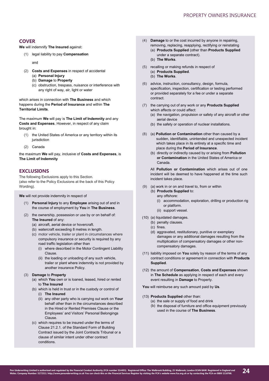# **COVER**

**We** will indemnify **The Insured** against:

(1) legal liability to pay **Compensation**

and

- (2) **Costs and Expenses** in respect of accidental
	- (a) **Personal Injury** (b) **Damage** to **Property**
	- (c) obstruction, trespass, nuisance or interference with
		- any right of way, air, light or water

which arises in connection with **The Business** and which happens during the **Period of Insurance** and within **The Territorial Limits**.

The maximum **We** will pay is **The Limit of Indemnity** and any **Costs and Expenses**. However, in respect of any claim brought in:

- (1) the United States of America or any territory within its jurisdiction
- (2) Canada

the maximum **We** will pay, inclusive of **Costs and Expenses**, is **The Limit of Indemnity**

# **EXCLUSIONS**

The following Exclusions apply to this Section. (also refer to the Policy Exclusions at the back of this Policy Wording).

**We** will not provide indemnity in respect of

- (1) **Personal Injury** to any **Employee** arising out of and in the course of employment by **You** in **The Business**.
- (2) the ownership, possession or use by or on behalf of: **The Insured** of any:
	- (a) aircraft, aerial device or hovercraft.
	- (b) watercraft exceeding 8 metres in length.
	- (c) motor vehicle, trailer or plant in circumstances where compulsory insurance or security is required by any road traffic legislation other than
		- (i) where described in the Motor Contingent Liability Clause.
		- (ii) the loading or unloading of any such vehicle, trailer or plant where indemnity is not provided by another insurance Policy.
- (3) **Damage** to **Property**
	- (a) which **You** own or is loaned, leased, hired or rented to **The Insured**
	- (b) which is held in trust or in the custody or control of (i) **The Insured**
		- (ii) any other party who is carrying out work on **Your**  behalf other than in the circumstances described in the Hired or Rented Premises Clause or the Employees' and Visitors' Personal Belongings Clause.
	- (c) which requires to be insured under the terms of Clause 21.2.1. of the Standard Form of Building Contract issued by the Joint Contracts Tribunal or a clause of similar intent under other contract conditions.
- (4) **Damage** to or the cost incurred by anyone in repairing, removing, replacing, reapplying, rectifying or reinstating
	- (a) **Products Supplied** (other than **Products Supplied**  under a separate contract).
	- (b) **The Works**.
- (5) recalling or making refunds in respect of (a) **Products Supplied**.
	- (b) **The Works**.
- (6) advice, instruction, consultancy, design, formula, specification, inspection, certification or testing performed or provided separately for a fee or under a separate contract.
- (7) the carrying out of any work or any **Products Supplied**  which affects or could affect:
	- (a) the navigation, propulsion or safety of any aircraft or other aerial device
	- (b) the safety or operation of nuclear installations.
- (8) (a) **Pollution or Contamination** other than caused by a sudden, identifiable, unintended and unexpected incident which takes place in its entirety at a specific time and place during the **Period of Insurance**.
	- (b) directly or indirectly caused by or arising from **Pollution or Contamination** in the United States of America or Canada.

All **Pollution or Contamination** which arises out of one incident will be deemed to have happened at the time such incident takes place.

- (9) (a) work in or on and travel to, from or within
	- (b) **Products Supplied** to: any offshore:
		- (i) accommodation, exploration, drilling or production rig or platform.
		- (ii) support vessel.
- (10) (a) liquidated damages.
	- (b) penalty clauses.
	- (c) fines.
	- (d) aggravated, restitutionary, punitive or exemplary damages or any additional damages resulting from the multiplication of compensatory damages or other noncompensatory damages.
- (11) liability imposed on **You** solely by reason of the terms of any contract conditions or agreement in connection with **Products Supplied**.
- (12) the amount of **Compensation**, **Costs and Expenses** shown in **The Schedule** as applying in respect of each and every event resulting in **Damage** to Property.

**You** will reimburse any such amount paid by **Us**.

- (13) **Products Supplied** other than:
	- (a) the sale or supply of food and drink
	- (b) the disposal of furniture and office equipment previously used in the course of **The Business**.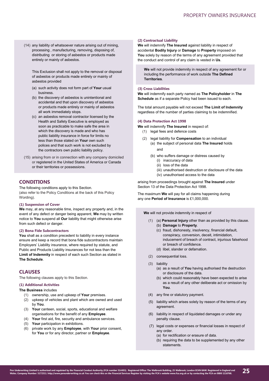(14) any liability of whatsoever nature arising out of mining, processing , manufacturing, removing, disposing of, distributing or storing of asbestos or products made entirely or mainly of asbestos.

This Exclusion shall not apply to the removal or disposal of asbestos or products made entirely or mainly of asbestos provided

- (a) such activity does not form part of **Your** usual business.
- (b) the discovery of asbestos is unintentional and accidental and that upon discovery of asbestos or products made entirely or mainly of asbestos all work immediately stops.
- (c) an asbestos removal contractor licensed by the Health and Safety Executive is employed as soon as practicable to make safe the area in which the discovery is made and who has public liability insurance in force for limits no less than those stated on **Your** own such polices and that such work is not excluded by the contractors own public liability policy.
- (15) arising from or in connection with any company domiciled or registered in the United States of America or Canada or their territories or possessions.

# **CONDITIONS**

The following conditions apply to this Section. (also refer to the Policy Conditions at the back of this Policy Wording).

#### **(1) Suspension of Cover**

**We** may, at any reasonable time, inspect any property and, in the event of any defect or danger being apparent, **We** may by written notice to **You** suspend all **Our** liability that might otherwise arise from such defect or danger.

# **(2) Bona Fide Subcontractors**

You shall as a condition precedent to liability in every instance ensure and keep a record that bona fide subcontractors maintain Employers' Liability insurance, where required by statute, and Public and Products Liability insurances for not less than the **Limit of Indemnity** in respect of each such Section as stated in **The Schedule**.

# **CLAUSES**

The following clauses apply to this Section.

# **(1) Additional Activities**

## **The Business** includes

- (1) ownership, use and upkeep of **Your** premises.
- (2) upkeep of vehicles and plant which are owned and used by **You**.
- (3) **Your** canteen, social, sports, educational and welfare organisations for the benefit of any **Employee**.
- (4) **Your** first aid, fire, security and ambulance services.
- (5) **Your** participation in exhibitions.
- (6) private work by any **Employee**, with **Your** prior consent, for **You** or for any director, partner or **Employee**.

# **(2) Contractual Liability**

**We** will indemnify **The Insured** against liability in respect of accidental **Bodily Injury** or **Damage** to **Property** imposed on **You** solely by reason of the terms of any agreement provided that the conduct and control of any claim is vested in **Us**.

**We** will not provide indemnity in respect of any agreement for or including the performance of work outside **The Defined Territories**.

# **(3) Cross Liabilities**

**We** will indemnify each party named as **The Policyholder** in **The Schedule** as if a separate Policy had been issued to each.

The total amount payable will not exceed **The Limit of Indemnity** regardless of the number of parties claiming to be indemnified.

# **(4) Data Protection Act 1998**

- **We** will indemnify **The Insured** in respect of:
	- (1) legal fees and defence costs
	- (2) legal liability for **Compensation** to an individual (a) the subject of personal data **The Insured** holds
		- and
		- (b) who suffers damage or distress caused by
			- (i) inaccuracy of data
			- (ii) loss of the data
			- (iii) unauthorised destruction or disclosure of the data
			- (iv) unauthorised access to the data

arising from proceedings brought against **The Insured** under Section 13 of the Data Protection Act 1998.

The maximum **We** will pay for all claims happening during any one **Period of Insurance** is £1,000,000.

**We** will not provide indemnity in respect of

- (1) (a) **Personal Injury** other than as provided by this clause. (b) **Damage** to **Property**.
	- (c) fraud, dishonesty, insolvency, financial default, conspiracy, conversion, deceit, intimidation, inducement of breach of contract, injurious falsehood or breach of confidence.
	- (d) libel, slander or defamation.
- (2) consequential loss.
- (3) liability
	- (a) as a result of **You** having authorised the destruction or disclosure of the data.
	- (b) which could reasonably have been expected to arise as a result of any other deliberate act or omission by **You**.
- (4) any fine or statutory payment.
- (5) liability which arises solely by reason of the terms of any agreement.
- (6) liability in respect of liquidated damages or under any penalty clause.
- (7) legal costs or expenses or financial losses in respect of any order.
	- (a) for rectification or erasure of data.
	- (b) requiring the data to be supplemented by any other statements.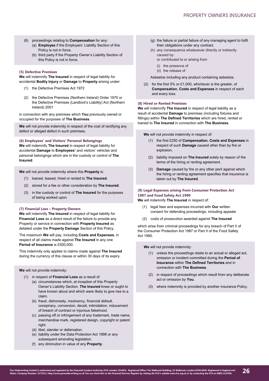- (8) proceedings relating to **Compensation** for any:
	- (a) **Employee** if the Employers' Liability Section of this Policy is not in force.
	- (b) third party if the Property Owner's Liability Section of this Policy is not in force.

## **(5) Defective Premises**

**We** will indemnify **The Insured** in respect of legal liability for accidental **Bodily Injury** or **Damage** to **Property** arising under:

- (1) the Defective Premises Act 1972
- (2) the Defective Premises (Northern Ireland) Order 1975 or the Defective Premises (Landlord's Liability) Act (Northern Ireland) 2001

in connection with any premises which **You** previously owned or occupied for the purposes of **The Business**.

**We** will not provide indemnity in respect of the cost of rectifying any defect or alleged defect in such premises.

**(6) Employees' and Visitors' Personal Belongings We** will indemnify **The Insured** in respect of legal liability for accidental **Damage** to **Employees'** and visitors' vehicles and personal belongings which are in the custody or control of **The Insured**.

**We** will not provide indemnity where this **Property** is:

- (1) loaned, leased, hired or rented to **The Insured**.
- (2) stored for a fee or other consideration by **The Insured**.
- (3) in the custody or control of **The Insured** for the purposes of being worked upon.

#### **(7) Financial Loss – Property Owners**

**We** will indemnify **The Insured** in respect of legal liability for **Financial Loss** as a direct result of the failure to provide any Property or service in connection with **Property Insured** as detailed under the **Property Damage** Section of this Policy.

The maximum **We** will pay, including **Costs and Expenses**, in respect of all claims made against **The Insured** in any one **Period of Insurance** is £500,000.

This indemnity only applies to claims made against **The Insured** during the currency of this clause or within 30 days of its expiry.

## **We** will not provide indemnity:

- (1) in respect of **Financial Loss** as a result of
	- (a) circumstances which, at inception of this Property Owner's Liability Section, **The Insured** knew or ought to have known about and which were likely to give rise to a claim.
	- (b) fraud, dishonesty, insolvency, financial default, conspiracy, conversion, deceit, intimidation, inducement of breach of contract or injurious falsehood.
	- (c) passing off or infringement of any trademark, trade name, merchandise mark, registered design, copyright or patent right.
	- (d) libel, slander or defamation.
	- (e) liability under the Data Protection Act 1998 or any subsequent amending legislation.
	- (f) any diminution in value of any **Property**.
- (g) the failure or partial failure of any managing agent to fulfil their obligations under any contract.
- (h) any consequence whatsoever directly or indirectly caused by:
	- or contributed to or arising from
	- (i) the presence of
	- (ii) the release of

Asbestos including any product containing asbestos.

(2) for the first 5% or £1,000, whichever is the greater, of **Compensation**, **Costs and Expenses** in respect of each and every loss.

## **(8) Hired or Rented Premises**

**We** will indemnify **The Insured** in respect of legal liability as a result of accidental **Damage** to premises (including fixtures and fittings) within **The Defined Territories** which are hired, rented or loaned to **The Insured** in connection with **The Business**.

**We** will not provide indemnity in respect of:

- (1) the first £250 of **Compensation**, **Costs and Expenses** in respect of such **Damage** caused other than by fire or explosion.
- (2) liability imposed on **The Insured** solely by reason of the terms of the hiring or renting agreement.
- (3) **Damage** caused by fire or any other peril against which the hiring or renting agreement specifies that insurance is taken out by **The Insured**.

# **(9) Legal Expenses arising from Consumer Protection Act 1987 and Food Safety Act 1990**

**We** will indemnify **The Insured** in respect of:

- (1) legal fees and expenses incurred with **Our** written consent for defending proceedings, including appeals
- (2) costs of prosecution awarded against **The Insured**

which arise from criminal proceedings for any breach of Part II of the Consumer Protection Act 1987 or Part II of the Food Safety Act 1990.

**We** will not provide indemnity:

- (1) unless the proceedings relate to an actual or alleged act, omission or incident committed during the **Period of Insurance** within **The Defined Territories** and in connection with **The Business**.
- (2) in respect of proceedings which result from any deliberate act or omission by **You**.
- (3) where indemnity is provided by another insurance Policy.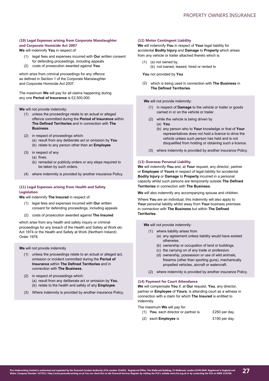# **(10) Legal Expenses arising from Corporate Manslaughter and Corporate Homicide Act 2007**

**We** will indemnify **You** in respect of:

- (1) legal fees and expenses incurred with **Our** written consent for defending proceedings, including appeals
- costs of prosecution awarded against **You** (2)

which arise from criminal proceedings for any offence as defined in Section 1 of the Corporate Manslaughter and Corporate Homicide Act 2007.

The maximum **We** will pay for all claims happening during any one **Period of Insurance** is £2,500,000.

**We** will not provide indemnity:

- (1) unless the proceedings relate to an actual or alleged offence committed during the **Period of Insurance** within **The Defined Territories** and in connection with **The Business**.
- (2) in respect of proceedings which: (a) result from any deliberate act or omission by **You** (b) relate to any person other than an **Employee**
- (3) in respect of any (a) fines.
	- (b) remedial or publicity orders or any steps required to be taken by such orders.
- (4) where indemnity is provided by another insurance Policy.

# **(11) Legal Expenses arising from Health and Safety Legislation**

**We** will indemnify **The Insured** in respect of:

- (1) legal fees and expenses incurred with **Our** written consent for defending proceedings, including appeals
- (2) costs of prosecution awarded against **The Insured**

which arise from any health and safety inquiry or criminal proceedings for any breach of the Health and Safety at Work etc Act 1974 or the Health and Safety at Work (Northern Ireland) Order 1978.

**We** will not provide indemnity

- (1) unless the proceedings relate to an actual or alleged act, omission or incident committed during the **Period of Insurance** within **The Defined Territories** and in connection with **The Business**.
- (2) in respect of proceedings which: (a) result from any deliberate act or omission by **You**. (b) relate to the health and safety of any **Employee**.
- Where indemnity is provided by another insurance Policy. (3)

#### **(12) Motor Contingent Liability**

**We** will indemnify **You** in respect of **Your** legal liability for accidental **Bodily Injury** and **Damage** to **Property** which arises from any vehicle or trailer attached thereto which is:

- (1) (a) not owned by,
	- (b) not loaned, leased, hired or rented to

**You** nor provided by **You**

which is being used in connection with **The Business** in (2)**The Defined Territories**.

**We** will not provide indemnity:

- (1) in respect of **Damage** to the vehicle or trailer or goods carried in or on the vehicle or trailer.
- (2) while the vehicle is being driven by (a) **You**.
	- (b) any person who to **Your** knowledge or that of **Your** representatives does not hold a licence to drive the vehicle unless such person has held and is not disqualified from holding or obtaining such a licence.
- (3) where indemnity is provided by another insurance Policy.

# **(13) Overseas Personal Liability**

**We** will indemnify **You** and, at **Your** request, any director, partner or **Employee** of **Yours** in respect of legal liability for accidental **Bodily Injury** or **Damage** to **Property** incurred in a personal capacity whilst such persons are temporarily outside **The Defined Territories** in connection with **The Business**.

**We** will also indemnify any accompanying spouse and children.

Where **You** are an individual, this indemnity will also apply to **Your** personal liability whilst away from **Your** business premises in connection with **The Business** but within **The Defined Territories**.

**We** will not provide indemnity:

- (1) where liability arises from (a) any agreement unless liability would have existed otherwise.
	- (b) ownership or occupation of land or buildings.
	- (c) the carrying on of any trade or profession.
	- (d) ownership, possession or use of wild animals, firearms (other than sporting guns), mechanically propelled vehicles, aircraft or watercraft.
- (2) where indemnity is provided by another insurance Policy.

#### **(14) Payment for Court Attendance**

**We** will compensate **You** if, at **Our** request, **You**, any director, partner or **Employee** of **Yours**, is attending court as a witness in connection with a claim for which **The Insured** is entitled to indemnity.

The maximum **We** will pay for:

- (1) **You**, each director or partner is £250 per day.
- (2) each **Employee** is £150 per day.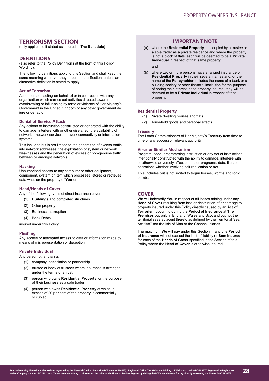# **TERRORISM SECTION**

(only applicable if stated as insured in **The Schedule**)

# **DEFINITIONS**

(also refer to the Policy Definitions at the front of this Policy Wording).

The following definitions apply to this Section and shall keep the same meaning wherever they appear in the Section, unless an alternative definition is stated to apply.

# **Act of Terrorism**

Act of persons acting on behalf of or in connection with any organisation which carries out activities directed towards the overthrowing or influencing by force or violence of Her Majesty's Government in the United Kingdom or any other government de jure or de facto.

#### **Denial of Service Attack**

Any actions or instruction constructed or generated with the ability to damage, interfere with or otherwise affect the availability of networks, network services, network connectivity or information systems.

This includes but is not limited to the generation of excess traffic into network addresses, the exploitation of system or network weaknesses and the generation of excess or non-genuine traffic between or amongst networks.

# **Hacking**

Unauthorised access to any computer or other equipment, component, system or item which processes, stores or retrieves data whether the property of **You** or not.

# **Head/Heads of Cover**

Any of the following types of direct insurance cover

- (1) **Buildings** and completed structures
- (2) Other property
- (3) Business Interruption
- (4) Book Debts

insured under this Policy.

#### **Phishing**

Any access or attempted access to data or information made by means of misrepresentation or deception.

# **Private Individual**

Any person other than a:

- (1) company, association or partnership
- (2) trustee or body of trustees where insurance is arranged under the terms of a trust
- (3) person who owns **Residential Property** for the purpose of their business as a sole trader
- (4) person who owns **Residential Property** of which in excess of 20 per cent of the property is commercially occupied.

# **IMPORTANT NOTE**

(a) where the **Residential Property** is occupied by a trustee or a sole trader as a private residence and where the property is not a block of flats, each will be deemed to be a **Private Individual** in respect of that same property

and

(b) where two or more persons have arranged insurance on **Residential Property** in their several names and, or the name of the **Policyholder** includes the name of a bank or a building society or other financial institution for the purpose of noting their interest in the property insured, they will be deemed to be a **Private Individual** in respect of that property.

#### **Residential Property**

- (1) Private dwelling houses and flats.
- (2) Household goods and personal effects.

# **Treasury**

The Lords Commissioners of Her Majesty's Treasury from time to time or any successor relevant authority.

#### **Virus or Similar Mechanism**

Program, code, programming instruction or any set of instructions intentionally constructed with the ability to damage, interfere with or otherwise adversely affect computer programs, data, files or operations whether involving self-replication or not.

This includes but is not limited to trojan horses, worms and logic bombs.

# **COVER**

**We** will indemnify **You** in respect of all losses arising under any **Head of Cover** resulting from loss or destruction of or damage to property insured under this Policy directly caused by an **Act of Terrorism** occurring during the **Period of Insurance** at **The Premises** but only in England, Wales and Scotland but not the territorial seas adjacent thereto as defined by the Territorial Sea Act 1987 nor the Isle of Man or the Channel Islands.

The maximum **We** will pay under this Section in any one **Period of Insurance** will not exceed the limit of liability or **Sum Insured**  for each of the **Heads of Cover** specified in the Section of this Policy where the **Head of Cover** is otherwise insured.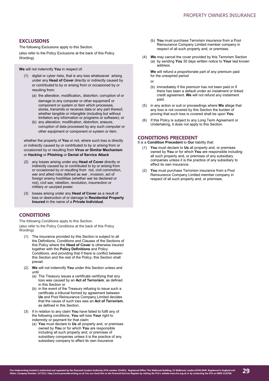# **EXCLUSIONS**

The following Exclusions apply to this Section.

(also refer to the Policy Exclusions at the back of this Policy Wording).

**We** will not indemnify **You** in respect of:

- (1) digital or cyber risks, that is any loss whatsoever arising under any **Head of Cover** directly or indirectly caused by or contributed to by or arising from or occasioned by or resulting from:
	- (a) the alteration, modification, distortion, corruption of or damage to any computer or other equipment or component or system or item which processes, stores, transmits or receives data or any part thereof, whether tangible or intangible (including but without limitation any information or programs or software); or
	- (b) any alteration, modification, distortion, erasure, corruption of data processed by any such computer or other equipment or component or system or item.

whether the property of **You** or not, where such loss is directly or indirectly caused by or contributed to by or arising from or occasioned by or resulting from **Virus or Similar Mechanism** or **Hacking** or **Phishing** or **Denial of Service Attack**

- (2) any losses arising under any **Head of Cover** directly or indirectly caused by or contributed to by or arising from or occasioned by or resulting from riot, civil commotion, war and allied risks defined as war , invasion, act of foreign enemy hostilities (whether war be declared or not), civil war, rebellion, revolution, insurrection or military or usurped power.
- (3) losses arising under any **Head of Cover** as a result of loss or destruction of or damage to **Residential Property Insured** in the name of a **Private Individual**.

# **CONDITIONS**

The following Conditions apply to this Section. (also refer to the Policy Conditions at the back of this Policy Wording)

- (1) The insurance provided by this Section is subject to all the Definitions, Conditions and Clauses of the Sections of this Policy where the **Head of Cover** is otherwise insured together with the **Policy Definitions** and Policy Conditions, and providing that if there is conflict between this Section and the rest of the Policy, this Section shall prevail.
- (2) **We** will not indemnify **You** under this Section unless and until
	- (a) The Treasury issues a certificate certifying that any loss was caused by an **Act of Terrorism**, as defined in this Section or
	- (b) in the event of the Treasury refusing to issue such a certificate a tribunal formed by agreement between **Us** and Pool Reinsurance Company Limited decides that the cause of such loss was an **Act of Terrorism**, as defined in this Section.
- (3) if in relation to any claim **You** have failed to fulfil any of the following conditions, **You** will lose **Your** right to indemnity or payment for that claim:
	- (a) **You** must declare to **Us** all property and, or premises owned by **You** or for which **You** are responsible including all such property and, or premises of subsidiary companies unless it is the practice of any subsidiary company to effect its own insurance
- (b) **You** must purchase Terrorism insurance from a Pool Reinsurance Company Limited member company in respect of all such property and, or premises.
- (4) **We** may cancel the cover provided by this Terrorism Section (a) by sending **You** 30 days written notice to **Your** last known address.

**We** will refund a proportionate part of any premium paid for the unexpired period

or

- (b) immediately if the premium has not been paid or if there has been a default under an instalment or linked credit agreement. **We** will not refund any instalment paid.
- (5) in any action or suit or proceedings where **We** allege that any loss is not covered by this Section the burden of proving that such loss is covered shall be upon **You**.
- (6) If this Policy is subject to any Long Term Agreement or Undertaking, it does not apply to this Section.

# **CONDITIONS PRECEDENT**

It is a **Condition Precedent** to **Our** liability that:

- (1) **You** must declare to **Us** all property and, or premises owned by **You** or for which **You** are responsible including all such property and, or premises of any subsidiary companies unless it is the practice of any subsidiary to effect its own insurance.
- You must purchase Terrorism insurance from a Pool Reinsurance Company Limited member company in respect of all such property and, or premises.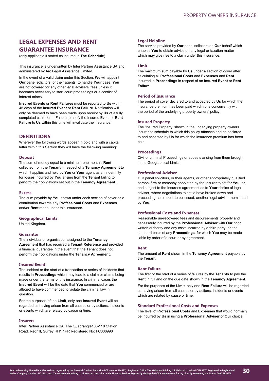# **LEGAL EXPENSES AND RENT GUARANTEE INSURANCE**

(only applicable if stated as insured in **The Schedule**)

This insurance is underwritten by Inter Partner Assistance SA and administered by Arc Legal Assistance Limited.

In the event of a valid claim under this Section, **We** will appoint **Our** panel solicitors, or their agents, to handle **Your** case. **You** are not covered for any other legal advisers' fees unless it becomes necessary to start court proceedings or a conflict of interest arises.

**Insured Events** or **Rent Failures** must be reported to **Us** within 45 days of the **Insured Event** or **Rent Failure**. Notification will only be deemed to have been made upon receipt by **Us** of a fully completed claim form. Failure to notify the Insured Event or **Rent Failure** to **Us** within this time will invalidate the insurance.

# **DEFINITIONS**

Wherever the following words appear in bold and with a capital letter within this Section they will have the following meaning:

#### **Deposit**

The sum of money equal to a minimum one month's **Rent** collected from the **Tenant** in respect of a **Tenancy Agreement** to which it applies and held by **You** or **Your** agent as an indemnity for losses incurred by **You** arising from the **Tenant** failing to perform their obligations set out in the **Tenancy Agreement**.

#### **Excess**

The sum payable by **You** shown under each section of cover as a contribution towards any **Professional Costs** and **Expenses** and/or **Rent** made under this insurance.

## **Geographical Limits**

United Kingdom.

## **Guarantor**

The individual or organisation assigned to the **Tenancy Agreement** that has received a **Tenant Reference** and provided a financial guarantee in the event that the Tenant does not perform their obligations under the **Tenancy Agreement**.

# **Insured Event**

The incident or the start of a transaction or series of incidents that results in **Proceedings** which may lead to a claim or claims being made under the terms of this insurance. In criminal cases the **Insured Event** will be the date that **You** commenced or are alleged to have commenced to violate the criminal law in question.

For the purposes of the **Limit**, only one **Insured Event** will be regarded as having arisen from all causes or by actions, incidents or events which are related by cause or time.

#### **Insurers**

Inter Partner Assistance SA, The Quadrangle106-118 Station Road, Redhill, Surrey RH1 1PR Registered No: FC008998

# **Legal Helpline**

The service provided by **Our** panel solicitors on **Our** behalf which enables **You** to obtain advice on any legal or taxation matter which may give rise to a claim under this insurance.

# **Limit**

The maximum sum payable by **Us** under a section of cover after calculating all **Professional Costs** and **Expenses** and **Rent** incurred in **Proceedings** in respect of an **Insured Event** or **Rent Failure**.

# **Period of Insurance**

The period of cover declared to and accepted by **Us** for which the insurance premium has been paid which runs concurrently with the period of the underlying property owners' policy.

# **Insured Property**

The 'Insured Property' shown in the underlying property owners insurance schedule to which this policy attaches and as declared to and accepted by **Us** for which the insurance premium has been paid.

# **Proceedings**

Civil or criminal Proceedings or appeals arising from them brought in the Geographical Limits.

# **Professional Adviser**

**Our** panel solicitors, or their agents, or other appropriately qualified person, firm or company appointed by the Insurer to act for **You**, or, and subject to the Insurer's agreement as to **Your** choice of legal adviser, where negotiations to settle have broken down and proceedings are about to be issued, another legal adviser nominated by **You**.

#### **Professional Costs and Expenses**

Reasonable un-recovered fees and disbursements properly and necessarily incurred by the **Professional Adviser** with **Our** prior written authority and any costs incurred by a third party, on the standard basis of any **Proceedings**, for which **You** may be made liable by order of a court or by agreement.

#### **Rent**

The amount of **Rent** shown in the **Tenancy Agreement** payable by the **Tenant**.

## **Rent Failure**

The first or the start of a series of failures by the **Tenants** to pay the **Rent** in full and on the due date shown in the **Tenancy Agreement**.

For the purposes of the **Limit**, only one **Rent Failure** will be regarded as having arisen from all causes or by actions, incidents or events which are related by cause or time.

# **Standard Professional Costs and Expenses**

The level of **Professional Costs** and **Expenses** that would normally be incurred by **Us** in using a **Professional Adviser** of **Our** choice.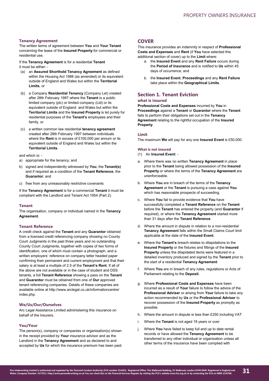# **Tenancy Agreement**

The written terms of agreement between **You** and **Your Tenant** concerning the lease of the **Insured Property** for commercial or residential use.

If the **Tenancy Agreement** is for a residential **Tenant** it must be either:

- (a) an **Assured Shorthold Tenancy Agreement** as defined within the Housing Act 1988 (as amended) or its equivalent outside of England and Wales but within the **Territorial Limits**, or
- (b) a Company **Residential Tenancy** (Company Let) created after 28th February 1997 where the **Tenant** is a public limited company (plc) or limited company (Ltd) or its equivalent outside of England and Wales but within the **Territorial Limits** and the **Insured Property** is let purely for residential purposes of the **Tenant's** employees and their family, or
- (c) a written common law residential **tenancy agreement** created after 28th February 1997 between individuals where the **Rent** is in excess of £100,000 per annum or its equivalent outside of England and Wales but within the **Territorial Limits**.

and which is: -

- a) appropriate for the tenancy; and
- b) signed and independently witnessed by **You**, the **Tenant(s)** and if required as a condition of the **Tenant Reference**, the **Guarantor**; and
- c) free from any unreasonably restrictive covenants

If the **Tenancy Agreement** is for a commercial **Tenant** it must be compliant with the Landlord and Tenant Act 1954 (Part 2).

# **Tenant**

The organisation, company or individual named in the **Tenancy Agreement**.

# **Tenant Reference**

A credit check against the **Tenant** and any **Guarantor** obtained from a licensed credit referencing company showing no County Court Judgments in the past three years and no outstanding County Court Judgments, together with copies of two forms of identification, one of which must contain a photograph, and a written employers' reference on company letter headed paper confirming their permanent and current employment and that their salary is at least a multiple of 2.5 of the **Tenant's Rent**. If all of the above are not available or in the case of student and DSS tenants, a full **Tenant Reference** showing a pass on the **Tenant** and **Guarantor** must be obtained from one of **Our** approved tenant referencing companies. Details of these companies are available online at http://www.arclegal.co.uk/informationcentre/ index.php.

# **We/Us/Our/Ourselves**

Arc Legal Assistance Limited administering this insurance on behalf of the Insurers.

# **You/Your**

The person(s), company or companies or organisation(s) shown in the receipt provided by **Your** insurance advisor and as the Landlord in the **Tenancy Agreement** and as declared to and accepted by **Us** for which the insurance premium has been paid.

# **COVER**

This insurance provides an indemnity in respect of **Professional Costs and Expenses** and **Rent** (if **You** have selected this additional section of cover) up to the **Limit** where:

- a. the **Insured Event** and any **Rent Failure** occurs during the **Period of Insurance** and is notified to **Us** within 45 days of occurrence; and
- b. the **Insured Event**, **Proceedings** and any **Rent Failure** take place within the **Geographical Limits**.

# **Section 1. Tenant Eviction**

# **what is insured**

**Professional Costs and Expenses** incurred by **You** in **Proceedings** against a **Tenant** or **Guarantor** where the **Tenant** fails to perform their obligations set out in the **Tenancy Agreement** relating to the rightful occupation of the **Insured Property**.

## **Limit**

The maximum **We** will pay for any one **Insured Event** is £50,000.

#### **What is not insured**

- (1) An **Insured Event**: -
- a. Where there was no written **Tenancy Agreement** in place prior to the **Tenant** being allowed possession of the **Insured Property** or where the terms of the **Tenancy Agreement** are unenforceable.
- b. Where **You** are in breach of the terms of the **Tenancy Agreement** or the **Tenant** is pursuing a case against **You** which has reasonable prospects of succeeding.
- c. Where **You** fail to provide evidence that **You** have successfully completed a **Tenant Reference** on the **Tenant** before the **Tenant** has entered the property (and **Guarantor** if required), or where the **Tenancy Agreement** started more than 31 days after the **Tenant Reference**.
- d. Where the amount in dispute in relation to a non-residential **Tenancy Agreement** falls within the Small Claims Court limit applicable at the date of the **Insured Event**.
- e. Where the **Tenant's** breach relates to dilapidations to the **Insured Property** or the fixtures and fittings of the **Insured Property** unless the dilapidated items were featured in a detailed inventory produced and signed by the **Tenant** prior to the start of a residential **Tenancy Agreement**.
- f. Where **You** are in breach of any rules, regulations or Acts of Parliament relating to the **Deposit**.
- g. Where **Professional Costs and Expenses** have been incurred as a result of **Your** failure to follow the advice of the **Professional Adviser** or arising from **Your** failure to take any action recommended by **Us** or the **Professional Adviser** to recover possession of the **Insured Property** as promptly as possible.
- h. Where the amount in dispute is less than £250 including VAT
- i. Where the **Tenant** is not aged 18 years or over
- j. Where **You** have failed to keep full and up to date rental records or have allowed the **Tenancy Agreement** to be transferred to any other individual or organisation unless all other terms of the insurance have been complied with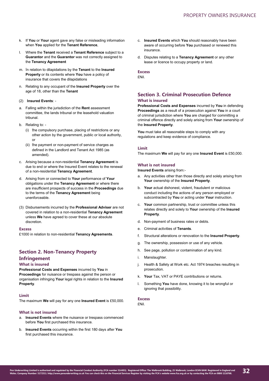- k. If **You** or **Your** agent gave any false or misleading information when **You** applied for the **Tenant Reference**,
- l. Where the **Tenant** received a **Tenant Reference** subject to a **Guarantor** and the **Guarantor** was not correctly assigned to the **Tenancy Agreement**
- m. In relation to dilapidations by the **Tenant** to the **Insured Property** or its contents where **You** have a policy of insurance that covers the dilapidations
- n. Relating to any occupant of the **Insured Property** over the age of 18, other than the **Tenant**

# (2) **Insured Events**: -

- a. Falling within the jurisdiction of the **Rent** assessment committee, the lands tribunal or the leasehold valuation tribunal.
- b. Relating to:
	- (i) the compulsory purchase, placing of restrictions or any other action by the government, public or local authority, or
	- (ii) the payment or non-payment of service charges as defined in the Landlord and Tenant Act 1985 (as amended).
- c. Arising because a non-residential **Tenancy Agreement** is due to end or where the Insured Event relates to the renewal of a non-residential **Tenancy Agreement**.
- d. Arising from or connected to **Your** performance of **Your** obligations under the **Tenancy Agreement** or where there are insufficient prospects of success in the **Proceedings** due to the terms of the **Tenancy Agreement** being unenforceable.
- (3) Disbursements incurred by the **Professional Adviser** are not covered in relation to a non-residential **Tenancy Agreement** unless **We** have agreed to cover these at our absolute discretion.

#### **Excess**

£1000 in relation to non-residential **Tenancy Agreements**.

# **Section 2. Non-Tenancy Property**

# **Infringement**

**What is insured** 

**Professional Costs and Expenses** incurred by **You** in **Proceedings** for nuisance or trespass against the person or organisation infringing **Your** legal rights in relation to the **Insured Property**.

# **Limit**

The maximum **We** will pay for any one **Insured Event** is £50,000.

# **What is not insured**

- a. **Insured Events** where the nuisance or trespass commenced before **You** first purchased this insurance.
- b. **Insured Events** occurring within the first 180 days after **You** first purchased this insurance.
- c. **Insured Events** which **You** should reasonably have been aware of occurring before **You** purchased or renewed this insurance.
- d. Disputes relating to a **Tenancy Agreement** or any other lease or licence to occupy property or land.

# **Excess**

£Nil.

# **Section 3. Criminal Prosecution Defence**

# **What is insured**

**Professional Costs and Expenses** incurred by **You** in defending **Proceedings** as a result of a prosecution against **You** in a court of criminal jurisdiction where **You** are charged for committing a criminal offence directly and solely arising from **Your** ownership of the **Insured Property**.

You must take all reasonable steps to comply with any regulations and keep evidence of compliance.

# **Limit**

The maximum **We** will pay for any one **Insured Event** is £50,000.

# **What is not insured**

**Insured Events** arising from:-

- a. Any activities other than those directly and solely arising from **Your** ownership of the **Insured Property**.
- b. **Your** actual dishonest, violent, fraudulent or malicious conduct including the actions of any person employed or subcontracted by **You** or acting under **Your** instruction.
- c. **Your** common partnership, trust or committee unless this relates directly and solely to **Your** ownership of the **Insured Property**.
- d. Non-payment of business rates or debts.
- e. Criminal activities of **Tenants**.
- f. Structural alterations or renovation to the **Insured Property**.
- g. The ownership, possession or use of any vehicle.
- h. See page, pollution or contamination of any kind.
- i. Manslaughter.
- j. Health & Safety at Work etc. Act 1974 breaches resulting in prosecution.
- k. **Your** Tax, VAT or PAYE contributions or returns.
- l. Something **You** have done, knowing it to be wrongful or ignoring that possibility.

# **Excess**

£Nil.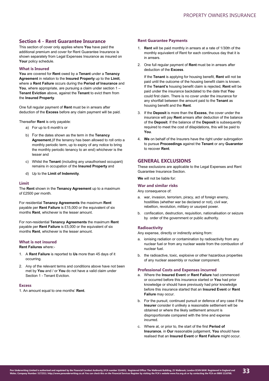# **Section 4 - Rent Guarantee Insurance**

This section of cover only applies where **You** have paid the additional premium and cover for Rent Guarantee Insurance is shown separately from Legal Expenses Insurance as insured on **Your** policy schedule.

# **What is Insured**

**You** are covered for **Rent** owed by a **Tenant** under a **Tenancy Agreement** in relation to the **Insured Property** up to the **Limit**, where a **Rent Failure** occurs during the **Period of Insurance** and **You**, where appropriate, are pursuing a claim under section 1 – **Tenant Eviction** above, against the **Tenant** to evict them from the **Insured Property**.

One full regular payment of **Rent** must be in arrears after deduction of the **Excess** before any claim payment will be paid.

Thereafter **Rent** is only payable:

- a) For up to 6 month's or
- b) For the dates shown as the term in the **Tenancy Agreement**,(if the tenancy has been allowed to roll onto a monthly periodic term, up to expiry of any notice to bring the monthly periodic tenancy to an end) whichever is the lesser and
- c) Whilst the **Tenant** (including any unauthorised occupant) remains in occupation of the **Insured Property** and
- d) Up to the **Limit of Indemnity**.

# **Limit**

The **Rent** shown in the **Tenancy Agreement** up to a maximum of £2500 per month.

For residential **Tenancy Agreements** the maximum **Rent** payable per **Rent Failure** is £15,000 or the equivalent of six months **Rent**, whichever is the lesser amount.

For non-residential **Tenancy Agreements** the maximum **Rent** payable per **Rent Failure** is £5,000 or the equivalent of six months **Rent**, whichever is the lesser amount.

# **What is not insured**

**Rent Failures** where:-

- 1. A **Rent Failure** is reported to **Us** more than 45 days of it occurring.
- 2. Any of the relevant terms and conditions above have not been met by **You** and / or **You** do not have a valid claim under Section 1 - Tenant Eviction.

#### **Excess**

1. An amount equal to one months' **Rent**.

# **Rent Guarantee Payments**

- 1. **Rent** will be paid monthly in arrears at a rate of 1/30th of the monthly equivalent of Rent for each continuous day that it is in arrears.
- 2. One full regular payment of **Rent** must be in arrears after deduction of the **Excess**.

If the **Tenant** is applying for housing benefit, **Rent** will not be paid until the outcome of the housing benefit claim is known. If the **Tenant's** housing benefit claim is rejected, **Rent** will be paid under the insurance backdated to the date that **You** could first claim. There is no cover under the insurance for any shortfall between the amount paid to the **Tenant** as housing benefit and the **Rent**.

- 3. If the **Deposit** is more than the **Excess**, the cover under the insurance will pay **Rent** arrears after deduction of the balance of the **Deposit**. If the balance of the **Deposit** is subsequently required to meet the cost of dilapidations, this will be paid to **You**.
- 4. **We** on behalf of the Insurers have the right under subrogation to pursue **Proceedings** against the **Tenant** or any **Guarantor** to recover **Rent**.

# **GENERAL EXCLUSIONS**

These exclusions are applicable to the Legal Expenses and Rent Guarantee Insurance Section.

**We** will not be liable for:

# **War and similar risks**

Any consequence of:

- a. war, invasion, terrorism, piracy, act of foreign enemy, hostilities (whether war be declared or not), civil war, rebellion, revolution, military or usurped power.
- b. confiscation, destruction, requisition, nationalisation or seizure by order of the government or public authority.

# **Radioactivity**

Any expense, directly or indirectly arising from:

- a. ionising radiation or contamination by radioactivity from any nuclear fuel or from any nuclear waste from the combustion of nuclear fuel.
- b. the radioactive, toxic, explosive or other hazardous properties of any nuclear assembly or nuclear component.

#### **Professional Costs and Expenses incurred**

- a. Where the **Insured Event** or **Rent Failure** had commenced or occurred before this insurance started or **You** had prior knowledge or should have previously had prior knowledge before this insurance started that an **Insured Event** or **Rent Failure** may occur.
- b. For the pursuit, continued pursuit or defence of any case if the **Insurer** consider it unlikely a reasonable settlement will be obtained or where the likely settlement amount is disproportionate compared with the time and expense incurred.
- c. Where at, or prior to, the start of the first **Period of Insurance**, in **Our** reasonable judgement, **You** should have realised that an **Insured Event** or **Rent Failure** might occur.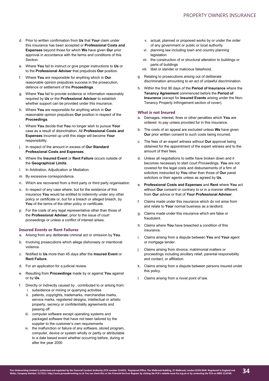- d. Prior to written confirmation from **Us** that **Your** claim under this insurance has been accepted or **Professional Costs and Expenses** beyond those for which **We** have given **Our** prior approval in accordance with the terms and conditions of this **Section**
- e. Where **You** fail to instruct or give proper instructions to **Us** or to the **Professional Adviser** that prejudices **Our** position.
- f. Where **You** are responsible for anything which in **Our** reasonable opinion prejudices success in the prosecution, defence or settlement of the **Proceedings**.
- g. Where **You** fail to provide evidence or information reasonably required by **Us** or the **Professional Advisor** to establish whether support can be provided under this insurance.
- h. Where **You** are responsible for anything which in **Our** reasonable opinion prejudices **Our** position in respect of the **Proceedings**.
- i. Where **You** decide that **You** no longer wish to pursue **Your** case as a result of disinclination. All **Professional Costs and Expenses** incurred up until this stage will become **Your** responsibility.
- j. In respect of the amount in excess of **Our Standard Professional Costs and Expenses**.
- k. Where the **Insured Event** or **Rent Failure** occurs outside of the **Geographical Limits**.
- l. In Arbitration, Adjudication or Mediation.
- m. By excessive correspondence.
- n. Which are recovered from a third party or third party organisation.
- o. In respect of any case where, but for the existence of this insurance **You** would be entitled to indemnity under any other policy or certificate or, but for a breach or alleged breach, by **You** of the terms of the other policy or certificate.
- p. For the costs of any legal representative other than those of the **Professional Adviser**, prior to the issue of court proceedings or unless a conflict of interest arises.

## **Insured Events or Rent Failures**

- a. Arising from any deliberate criminal act or omission by **You**.
- b. Involving prosecutions which allege dishonesty or intentional violence.
- c. Notified to **Us** more than 45 days after the **Insured Event** or **Rent Failure**.
- d. For an application for a judicial review.
- e. Resulting from **Proceedings** made by or against **You** against or by **Us**.
- f. Directly or indirectly caused by , contributed to or arising from: i. subsidence or mining or quarrying activities
	- ii. patents, copyrights, trademarks, merchandise marks, service marks, registered designs, intellectual or artistic property, secrecy or confidentiality agreements and passing off
	- iii. computer software except operating systems and packaged software that have not been tailored by the supplier to the customer's own requirements
	- iv. the malfunction or failure of any software, stored program, computer, device or system wholly or partly or attributable to a date based event whether occurring before, during or after the year 2000
- v. actual, planned or proposed works by or under the order of any government or public or local authority
- vi. planning law including town and country planning legislation
- vii. the construction of or structural alteration to buildings or parts of buildings
- viii. libel or slander or malicious falsehood.
- g. Relating to prosecutions arising out of deliberate discrimination amounting to an act of unlawful discrimination.
- h. Within the first 90 days of the **Period of Insurance** where the **Tenancy Agreement** commenced before the **Period of Insurance** (except for **Insured Events** arising under the Non-Tenancy Property Infringement section of cover).

# **What is not Insured**

- a. Damages, interest, fines or other penalties which **You** are ordered to pay unless provided for in this insurance.
- b. The costs of an appeal are excluded unless **We** have given **Our** prior written consent to such costs being incurred.
- c. The fees of an expert witness without **Our** approval being obtained for the appointment of the expert witness and to the amount of their fees.
- d. Unless all negotiations to settle have broken down and it becomes necessary to start court Proceedings, **You** are not covered for the legal costs and disbursements of a firm of solicitors instructed by **You** other than those of **Our** panel solicitors or their agents unless as agreed by **Us**.
- e. **Professional Costs and Expenses** and **Rent** where **You** act without **Our** consent or contrary to or in a manner different from **Our** advice or that of **Your Professional Adviser**.
- f. Claims made under this insurance which do not arise from and relate to **Your** normal business as a landlord.
- g. Claims made under this insurance which are false or fraudulent.
- h. Claims where **You** have breached a condition of this insurance.
- i. Claims arising from a dispute between **You** and **Your** agent or mortgage lender.
- j. Claims arising from divorce, matrimonial matters or proceedings including ancillary relief, parental responsibility and contact, or affiliation.
- k. Claims arising from a dispute between persons insured under this policy.
- l. Claims arising from a novel point of law.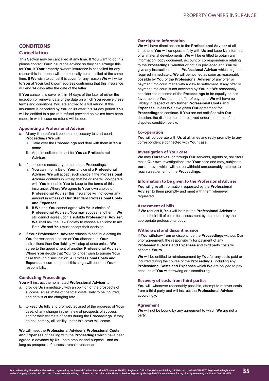# **CONDITIONS Cancellation**

This Section may be cancelled at any time. If **You** want to do this please contact **Your** insurance advisor so they can arrange this for **You**. If **Your** property owners insurance is cancelled for any reason this insurance will automatically be cancelled at the same time. If **We** wish to cancel this cover for any reason **We** will write to **You** at **Your** last known address confirming that this insurance will end 14 days after the date of the letter.

If **You** cancel this cover within 14 days of the later of either the inception or renewal date or the date on which **You** receive these terms and conditions **You** are entitled to a full refund. If this insurance is cancelled by **You** or **Us** after this 14 day period **You** will be entitled to a pro-rata refund provided no claims have been made, in which case no refund will be due.

# **Appointing a Professional Adviser**

- a. At any time before it becomes necessary to start court **Proceedings We** will:
	- i. Take over the **Proceedings** and deal with them in **Your** name.
	- ii. Appoint solicitors to act for **You** as **Professional Adviser**.
- b. If it becomes necessary to start court Proceedings:
	- i. **You** can inform **Us** of **Your** choice of a **Professional Adviser**. **We** will accept such choice if the **Professional Adviser** confirms in writing that he or she will co-operate with **You** to enable **You** to keep to the terms of this insurance. Where **We** agree to **Your** own choice of **Professional Adviser** this insurance will not cover any amount in excess of **Our Standard Professional Costs and Expenses**.
	- ii. If **We** and **You** cannot agree with **Your** choice of **Professional Adviser**, **You** may suggest another. If **We** still cannot agree upon a suitable **Professional Adviser**, **We** shall ask the Law Society to choose a solicitor to act. Both **We** and **You** must accept their decision.
- c. If **Your Professional Adviser** refuses to continue acting for **You** for reasonable cause or **You** discontinue **Your** instructions then **Our** liability will stop at once unless **We** agree to the appointment of another **Professional Adviser**. Where **You** decide that **You** no longer wish to pursue **Your** case through disinclination. All **Professional Costs and Expenses** incurred up until this stage will become **Your** responsibility.

# **Conducting Proceedings**

**You** will instruct the nominated **Professional Adviser** to:

- a. provide **Us** immediately with an opinion of the prospects of success, an estimate of the total costs likely to be incurred, and details of the charging rate.
- b. to keep **Us** fully and promptly advised of the progress of **Your** case, of any change in their view of prospects of success and/or their estimate of costs during the **Proceedings**. If they do not comply, all liability under this cover will cease.

# **We** will meet the **Professional Adviser's Professional Costs and Expenses** of dealing with the **Proceedings** which have been agreed in advance by **Us** - both amount and purpose - and as long as prospects of success remain reasonable.

# **Our right to information**

**We** will have direct access to the **Professional Adviser** at all times and **You** will co-operate fully with **Us** and keep **Us** informed of all material developments. **We** will be entitled to obtain any information, copy document, account or correspondence relating to the **Proceedings**, whether or not it is privileged and **You** will give any instructions to the **Professional Adviser** which might be required immediately. **We** will be notified as soon as reasonably possible by **You** or the **Professional Adviser** of any offer or payment into court made with a view to settlement. If any offer or payment into court is not accepted by **You** but **We** reasonably consider the outcome of the **Proceedings** to be equally or less favourable to **You** than the offer of payment, **We** will have no liability in respect of any further **Professional Costs and Expenses** unless **We** have given **Our** agreement for **Proceedings** to continue. If **You** are not satisfied with **Our** decision, the dispute must be resolved under the terms of the disputes condition below.

# **Co-operation**

**You** will co-operate with **Us** at all times and reply promptly to any correspondence connected with **Your** case.

# **Investigation of Your case**

**We** may **Ourselves**, or through **Our** servants, agents or, solicitors make **Our** own investigations into **Your** case and may, subject to **our** approval which will not be withheld unreasonably, attempt to reach a settlement of the **Proceedings**.

# **Information to be given to the Professional Adviser**

**You** will give all information requested by the **Professional Adviser** to them promptly and meet with them whenever requested.

# **Assessment of bills**

If **We** request it, **You** will instruct the **Professional Adviser** to submit their bill of costs for assessment by the court or by the appropriate professional body.

# **Withdrawal and discontinuance**

If **You** withdraw from or discontinue the **Proceedings** without **Our** prior agreement, the responsibility for payment of any **Professional Costs and Expenses** and third party costs will become **Yours**.

**We** will be entitled to reimbursement by **You** for any costs paid or incurred during the course of the **Proceedings**, including any **Professional Costs and Expenses** which **We** are obliged to pay because of **You** withdrawing or discontinuing.

# **Recovery of costs from third parties**

**You** will, whenever reasonably possible, attempt to recover costs from a third party and will instruct the **Professional Adviser** accordingly.

#### **Agreement**

**We** will not be bound by any agreement to which **We** are not a party.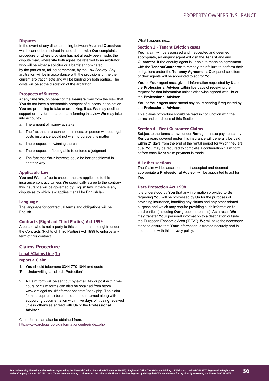# **Disputes**

In the event of any dispute arising between **You** and **Ourselves** which cannot be resolved in accordance with **Our** complaints procedure or where provision has not already been made, the dispute may, where **We** both agree, be referred to an arbitrator who will be either a solicitor or a barrister nominated by the parties or, failing agreement, by the Law Society. Any arbitration will be in accordance with the provisions of the then current arbitration acts and will be binding on both parties. The costs will be at the discretion of the arbitrator.

#### **Prospects of Success**

At any time **We**, on behalf of the **Insurers** may form the view that **You** do not have a reasonable prospect of success in the action **You** are proposing to take or are taking. If so, **We** may decline support or any further support. In forming this view **We** may take into account:-

- a. The amount of money at stake
- b. The fact that a reasonable business, or person without legal costs insurance would not wish to pursue this matter
- c. The prospects of winning the case
- d. The prospects of being able to enforce a judgment
- e. The fact that **Your** interests could be better achieved in another way.

#### **Applicable Law**

**You** and **We** are free to choose the law applicable to this insurance contract. Unless **We** specifically agree to the contrary this insurance will be governed by English law. If there is any dispute as to which law applies it shall be English law.

# **Language**

The language for contractual terms and obligations will be English.

#### **Contracts (Rights of Third Parties) Act 1999**

A person who is not a party to this contract has no rights under the Contracts (Rights of Third Parties) Act 1999 to enforce any term of this contract.

# **Claims Procedure**

# **Legal /Claims Line To**

**report a Claim**

1. **You** should telephone 0344 770 1044 and quote – 'Pen Underwriting Landlords Protection'

2. A claim form will be sent out by e-mail, fax or post within 24 hours or claim forms can also be obtained from http:// www.arclegal.co.uk/informationcentre/index.php. The claim form is required to be completed and returned along with supporting documentation within five days of it being received unless otherwise agreed with **Us** or the **Professional Adviser**.

Claim forms can also be obtained from: http://www.arclegal.co.uk/informationcentre/index.php

## What happens next:

# **Section 1 - Tenant Eviction cases**

**Your** claim will be assessed and if accepted and deemed appropriate, an enquiry agent will visit the **Tenant** and any **Guarantor**. If the enquiry agent is unable to reach an agreement with the **Tenant/Guarantor** to remedy their failure to perform their obligations under the **Tenancy Agreement**, **Our** panel solicitors or their agents will be appointed to act for **You.**

**You** or **Your** agent must give all information requested by **Us** or the **Professional Adviser** within five days of receiving the request for that information unless otherwise agreed with **Us** or the **Professional Adviser**.

You or Your agent must attend any court hearing if requested by the **Professional Adviser**.

This claims procedure should be read in conjunction with the terms and conditions of this Section.

# **Section 4 - Rent Guarantee Claims**

Subject to the terms shown under **Rent** guarantee payments any **Rent** arrears covered under this insurance will generally be paid within 21 days from the end of the rental period for which they are due. **You** may be required to complete a continuation claim form before each **Rent** claim payment is made.

## **All other sections**

The Claim will be assessed and if accepted and deemed appropriate a **Professional Advisor** will be appointed to act for **You**.

# **Data Protection Act 1998**

It is understood by **You** that any information provided to **Us** regarding **You** will be processed by **Us** for the purposes of providing insurance, handling any claims and any other related purpose and which may require providing such information to third parties (including **Our** group companies). As a result **We** may transfer **Your** personal information to a destination outside the European Economic Area ("EEA"). **We** will take the necessary steps to ensure that **Your** information is treated securely and in accordance with this privacy policy.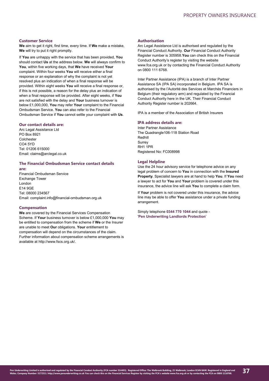# **Customer Service**

**We** aim to get it right, first time, every time. If **We** make a mistake, **We** will try to put it right promptly.

If **You** are unhappy with the service that has been provided, **You** should contact **Us** at the address below. **We** will always confirm to **You**, within five working days, that **We** have received **Your** complaint. Within four weeks **You** will receive either a final response or an explanation of why the complaint is not yet resolved plus an indication of when a final response will be provided. Within eight weeks **You** will receive a final response or, if this is not possible, a reason for the delay plus an indication of when a final response will be provided. After eight weeks, if **You** are not satisfied with the delay and **Your** business turnover is below £1,000,000, **You** may refer **Your** complaint to the Financial Ombudsman Service. **You** can also refer to the Financial Ombudsman Service if **You** cannot settle your complaint with **Us**.

# **Our contact details are:**

Arc Legal Assistance Ltd PO Box 8921 Colchester CO4 5YD Tel: 01206 615000 Email: claims@arclegal.co.uk

## **The Financial Ombudsman Service contact details are:**

Financial Ombudsman Service Exchange Tower London E14 9GE Tel: 08000 234567 Email: complaint.info@financial-ombudsman.org.uk

#### **Compensation**

**We** are covered by the Financial Services Compensation Scheme. If **Your** business turnover is below £1,000,000 **You** may be entitled to compensation from the scheme if **We** or the Insurer are unable to meet **Our** obligations. **Your** entitlement to compensation will depend on the circumstances of the claim. Further information about compensation scheme arrangements is available at http://www.fscs.org.uk/.

## **Authorisation**

Arc Legal Assistance Ltd is authorised and regulated by the Financial Conduct Authority. **Our** Financial Conduct Authority Register number is 305958.**You** can check this on the Financial Conduct Authority's register by visiting the website www.fca.org.uk or by contacting the Financial Conduct Authority on 0800 111 6768.

Inter Partner Assistance (IPA) is a branch of Inter Partner Assistance SA (IPA SA) incorporated in Belgium. IPA SA is authorised by the l'Autorité des Services et Marchés Financiers in Belgium (their regulatory arm) and regulated by the Financial Conduct Authority here in the UK. Their Financial Conduct Authority Register number is 202664.

IPA is a member of the Association of British Insurers

# **IPA address details are:**

Inter Partner Assistance The Quadrangle106-118 Station Road Redhill Surrey RH1 1PR Registered No: FC008998

# **Legal Helpline**

Use the 24 hour advisory service for telephone advice on any legal problem of concern to **You** in connection with the **Insured Property**. Specialist lawyers are at hand to help **You**. If **You** need a lawyer to act for **You** and **Your** problem is covered under this insurance, the advice line will ask **You** to complete a claim form.

If **Your** problem is not covered under this insurance, the advice line may be able to offer **You** assistance under a private funding arrangement.

Simply telephone **0344 770 1044** and quote - '**Pen Underwriting Landlords Protection**'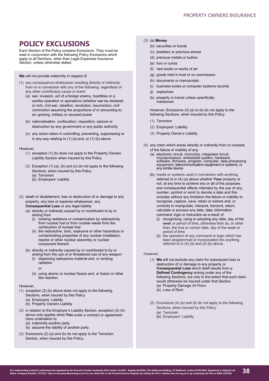# <span id="page-37-0"></span>**POLICY EXCLUSIONS**

Each Section of the Policy contains Exclusions. They must be read in conjunction with the following Policy Exclusions which apply to all Sections, other than Legal Expenses Insurance Section, unless otherwise stated.

**We** will not provide indemnity in respect of

- (1) any consequence whatsoever resulting directly or indirectly from or in connection with any of the following, regardless of any other contributory cause or event
	- (a) war, invasion, act of a foreign enemy, hostilities or a warlike operation or operations (whether war be declared or not), civil war, rebellion, revolution, insurrection, civil commotion assuming the proportions of or amounting to an uprising, military or usurped power
	- (b) nationalisation, confiscation, requisition, seizure or destruction by any government or any public authority
	- (c) any action taken in controlling, preventing, suppressing or in any way relating to (1) (a) and, or (1) (b) above.

#### **However**

- (1) exception (1) (b) does not apply to the Property Owners Liability Section when insured by this Policy
- (2) Exception (1) (a), (b) and (c) do not apply to the following Sections, when insured by this Policy (a) Terrorism
	- (b) Employers' Liability
- (2) death or disablement, loss or destruction of or damage to any property, any loss or expense whatsoever, any **Consequential Loss** or any legal liability
	- (a) directly or indirectly caused by or contributed to by or arising from
		- (i) ionising radiations or contamination by radioactivity from nuclear fuel or from nuclear waste from the combustion of nuclear fuel
		- (ii) the radioactive, toxic, explosive or other hazardous or contaminating properties of any nuclear installation, reactor or other nuclear assembly or nuclear component thereof.
	- (b) directly or indirectly caused by or contributed to by or arising from the use of or threatened use of any weapon
		- (i) dispersing radioactive material and, or ionising radiation
			- or
		- (ii) using atomic or nuclear fission and, or fusion or other like reaction.

#### However,

- (1) exception (2) (b) above does not apply to the following Sections, when insured by this Policy
	- (a) Employers' Liability
	- (b) Property Owners Liability
- (2) in relation to the Employer's Liability Section, exception (2) (a) above only applies when **You** under a contract or agreement have undertaken to (a) indemnify another party
	- (b) assume the liability of another party.
- (3) Exclusions (2) (a) and (b) do not apply to the Terrorism Section, when insured by this Policy.

# (3) (a) **Money**

- (b) securities or bonds
- (c) jewellery or precious stones
- (d) precious metals or bullion
- (e) furs or curios
- (f) rare books or works of art
- (g) goods held in trust or on commission
- (h) documents or manuscripts
- (i) business books or computer systems records
- (j) explosives
- (k) property in transit unless specifically mentioned.

However, Exclusions (3) (a) to (k) do not apply to the following Sections, when insured by this Policy

- (1) Terrorism
- (2) Employers' Liability
- (3) Property Owner's Liability
- (4) any claim which arises directly or indirectly from or consists of the failure or inability of any
	- (a) electronic circuit, microchip, integrated circuit, microprocessor, embedded system, hardware, software, firmware, program, computer, data processing equipment, telecommunication equipment or systems, or any similar device
	- (b) media or systems used in connection with anything referred to in (4) (a) above whether **Your** property or not, at any time to achieve any or all of the purposes and consequential effects intended by the use of any number, symbol or word to denote a date and this includes without any limitation the failure or inability to recognise, capture, save, retain or restore and, or correctly to manipulate, interpret, transmit, return, calculate or process any date, data, information, command, logic or instruction as a result of
		- (i) recognising, using or adopting any date, day of the week or period of time, otherwise than as, or other than, the true or correct date, day of the week or period of time
		- (ii) the operation of any command or logic which has been programmed or incorporated into anything referred to in  $(4)$  (a) and  $(4)$  (b) above.

# However,

- (1) **We** will not exclude any claim for subsequent loss or destruction of or damage to any property or **Consequential Loss** which itself results from a **Defined Contingency** arising under any of the following Sections, but only to the extent that such claim would otherwise be insured under that Section (a) Property Damage All Risks
	- (b) Loss of Rent
- (2) Exclusions (4) (a) and (b) do not apply to the following Sections, when insured by this Policy
	- (a) Terrorism
	- (b) Employers' Liability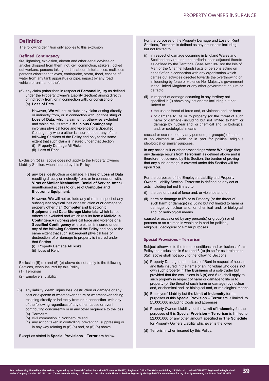# **Definition**

The following definition only applies to this exclusion

# **Defined Contingency**

fire, lightning, explosion, aircraft and other aerial devices or articles dropped from them, riot, civil commotion, strikers, locked out workers, persons taking part in labour disturbances, malicious persons other than thieves, earthquake, storm, flood, escape of water from any tank apparatus or pipe, impact by any road vehicle or animal, or theft.

(5) any claim (other than in respect of **Personal Injury** as defined under the Property Owner's Liability Section) arising directly or indirectly from, or in connection with, or consisting of

(a) **Loss of Data**

However, **We** will not exclude any claim arising directly or indirectly from, or in connection with, or consisting of **Loss of Data**, which claim is not otherwise excluded and which results from a **Malicious Contingency** involving physical force and violence or a Specified Contingency where either is insured under any of the following Sections of the Policy and only to the same extent that such claim is insured under that Section (i) Property Damage All Risks

(ii) Loss of Rent

Exclusion (5) (a) above does not apply to the Property Owners Liability Section, when insured by this Policy.

(b) any loss, destruction or damage, Failure of **Loss of Data** resulting directly or indirectly from, or in connection with: **Virus or Similar Mechanism**, **Denial of Service Attack**, unauthorised access to or use of **Computer and Electronic Equipment**.

However, **We** will not exclude any claim in respect of any subsequent physical loss or destruction of or damage to property other than **Computer and Electronic Equipment** and **Data Storage Materials**, which is not otherwise excluded and which results from a **Malicious Contingency** involving physical force and violence or a **Specified Contingency** where either is insured under any of the following Sections of the Policy and only to the same extent that such subsequent physical loss or destruction of or damage to property is insured under that Section

- (i) Property Damage All Risks
- (ii) Loss of Rent

Exclusion (5) (a) and (5) (b) above do not apply to the following Sections, when insured by this Policy

- (1) Terrorism
- (2) Employers' Liability
- (6) any liability, death, injury loss, destruction or damage or any cost or expense of whatsoever nature or wheresoever arising resulting directly or indirectly from or in connection with any of the following regardless of any other cause or event contributing concurrently or in any other sequence to the loss (a) Terrorism
	- (b) civil commotion in Northern Ireland
	- (c) any action taken in controlling, preventing, suppressing or in any way relating to (6) (a) and, or (6) (b) above.

Except as stated in **Special Provisions – Terrorism** below.

For the purposes of the Property Damage and Loss of Rent Sections, Terrorism is defined as any act or acts including, but not limited to

- (i) in respect of damage occurring in England Wales and Scotland only (but not the territorial seas adjacent thereto as defined by the Territorial Seas Act 1987 nor the Isle of Man or the Channel Islands) acts of persons acting on behalf of or in connection with any organisation which carries out activities directed towards the overthrowing or influencing by force or violence Her Majesty's government in the United Kingdom or any other government de jure or de facto
- (ii) in respect of damage occurring in any territory not specified in (i) above any act or acts including but not limited to
	- the use or threat of force and, or violence and, or harm
	- or damage to life or to property (or the threat of such harm or damage) including but not limited to harm or damage by nuclear and, or chemical and, or biological and, or radiological means

caused or occasioned by any person(s)or group(s) of persons or so claimed in whole or in part for political religious ideological or similar purposes.

In any action suit or other proceedings where **We** allege that any damage results from **Terrorism** as defined above and is therefore not covered by this Section, the burden of proving that any such damage is covered under this Section will be upon **You.** 

For the purposes of the Employers Liability and Property Owners Liability Section, Terrorism is defined as any act or acts including but not limited to

- (i) the use or threat of force and, or violence and, or
- (ii) harm or damage to life or to Property (or the threat of such harm or damage) including but not limited to harm or damage by nuclear and, or chemical and, or biological and, or radiological means

caused or occasioned by any person(s) or group(s) or of persons or so claimed in whole or in part for political, religious, ideological or similar purposes.

# **Special Provisions - Terrorism**

Subject otherwise to the terms, conditions and exclusions of this Policy the exclusions in 6 (a) and 6 (c) (in so far as it relates to 6(a)) above shall not apply to the following Sections

- (a) Property Damage and, or Loss of Rent in respect of houses and flats insured in the name of an individual who does not own such property in **The Business** of a sole trader but provided that the exclusions in 6 (a) and 6 (c) shall apply to such property in respect of harm or damage to life or to property (or the threat of such harm or damage) by nuclear and, or chemical and, or biological and, or radiological means
- (b) Employers' Liability but the **Limit of Indemnity** for the purposes of this **Special Provision – Terrorism** is limited to £5,000,000 including Costs and Expenses
- (c) Property Owners Liability but the **Limit of Indemnity** for the purposes of this **Special Provision – Terrorism** is limited to £2,000,000 or any other amount specified in **The Schedule**  for Property Owners Liability whichever is the lower
- (d) Terrorism, when insured by this Policy.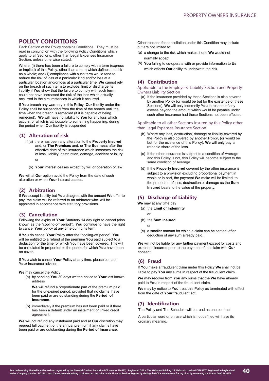# <span id="page-39-0"></span>**POLICY CONDITIONS**

Each Section of the Policy contains Conditions. They must be read in conjunction with the following Policy Conditions which apply to all Sections, other than Legal Expenses Insurance Section, unless otherwise stated.

Where: (i) there has been a failure to comply with a term (express or implied) of this Policy, other than a term which defines the risk as a whole; and (ii) compliance with such term would tend to reduce the risk of loss of a particular kind and/or loss at a particular location and/or loss at a particular time, **We** cannot rely on the breach of such term to exclude, limit or discharge its liability if **You** show that the failure to comply with such term could not have increased the risk of the loss which actually occurred in the circumstances in which it occurred.

If **You** breach any warranty in this Policy, **Our** liability under the Policy shall be suspended from the time of the breach until the time when the breach is remedied (if it is capable of being remedied). **We** will have no liability to **You** for any loss which occurs, or which is attributable to something happening, during the period when **Our** liability is suspended

# **(1) Alteration of risk**

- If (a) there has been any alteration to the **Property Insured**  and, or **The Premises** and, or **The Business** after the effective date of this insurance which increases the risk of loss, liability, destruction, damage, accident or injury or
	- (b) **Your** interest ceases except by will or operation of law

**We** will at **Our** option avoid the Policy from the date of such alteration or when **Your** interest ceases.

# **(2) Arbitration**

If **We** accept liability but **You** disagree with the amount **We** offer to pay, the claim will be referred to an arbitrator who will be appointed in accordance with statutory provisions.

# **(3) Cancellation**

Following the expiry of **Your** Statutory 14 day right to cancel (also known as the "cooling-off period"), **You** continue to have the right to cancel **Your** policy at any time during its term.

If **You** do cancel **Your** Policy after the "cooling-off period", **You** will be entitled to a refund of the premium **You** paid subject to a deduction for the time for which You have been covered. This will be calculated in proportion to the period for which **You** have been on cover.

If **You** wish to cancel **Your** Policy at any time, please contact **Your** insurance adviser.

**We** may cancel the Policy

(a) by sending **You** 30 days written notice to **Your** last known address

**We** will refund a proportionate part of the premium paid for the unexpired period, provided that no claims have been paid or are outstanding during the **Period of Insurance**.

(b) immediately if the premium has not been paid or if there has been a default under an instalment or linked credit agreement.

**We** will not refund any instalment paid and at **Our** discretion may request full payment of the annual premium if any claims have been paid or are outstanding during the **Period of Insurance**.

Other reasons for cancellation under this Condition may include but are not limited to:

- (a) a change to the risk which makes it one **We** would not normally accept
- (b) **You** failing to co-operate with or provide information to **Us** which affects **Our** ability to underwrite the risk.

# **(4) Contribution**

Applicable to the Employers' Liability Section and Property Owners Liability Section

(a) If the insurance provided by these Sections is also covered by another Policy (or would be but for the existence of these Sections), **We** will only indemnify **You** in respect of any excess beyond the amount which would be payable under such other insurance had these Sections not been effected.

## Applicable to all other Sections insured by this Policy other than Legal Expenses Insurance Section

- (b) Where any loss, destruction, damage or liability covered by the Policy is also covered by another Policy, (or would be but for the existence of this Policy), **We** will only pay a rateable share of the loss.
- (c) If the other insurance is subject to a condition of Average and this Policy is not, this Policy will become subject to the same condition of Average.
- (d) If the **Property Insured** covered by the other insurance is subject to a provision excluding proportional payment in whole or in part, the payment **We** make will be limited to the proportion of loss, destruction or damage as the **Sum Insured** bears to the value of the property.

# **(5) Discharge of Liability**

**We** may at any time pay

- (a) the **Limit of Indemnity**
	- or
- (b) the **Sum Insured**
	- or
- (c) a smaller amount for which a claim can be settled, after deduction of any sum already paid.

**We** will not be liable for any further payment except for costs and expenses incurred prior to the payment of the claim with **Our**  consent.

# **(6) Fraud**

If **You** make a fraudulent claim under this Policy **We** shall not be liable to pay **You** any sums in respect of the fraudulent claim.

**We** may recover from **You** any sums that the **We** have already paid to **You** in respect of the fraudulent claim.

**We** may by notice to **You** treat this Policy as terminated with effect from the date of **Your** fraudulent act.

# **(7) Identification**

The Policy and The Schedule will be read as one contract.

A particular word or phrase which is not defined will have its ordinary meaning.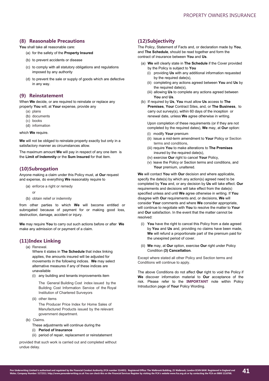# **(8) Reasonable Precautions**

You shall take all reasonable care:

- (a) for the safety of the **Property Insured**
- (b) to prevent accidents or disease
- (c) to comply with all statutory obligations and regulations imposed by any authority
- (d) to prevent the sale or supply of goods which are defective in any way.

# **(9) Reinstatement**

When **We** decide, or are required to reinstate or replace any property **You** will, at **Your** expense, provide any

- (a) plans
- (b) documents
- (c) books
- (d) information

# which **We** require.

**We** will not be obliged to reinstate property exactly but only in a satisfactory manner as circumstances allow.

The maximum amount **We** will pay in respect of any one item is the **Limit of Indemnity** or the **Sum Insured** for that item.

# **(10)Subrogation**

Anyone making a claim under this Policy must, at **Our** request and expense, do everything **We** reasonably require to

- (a) enforce a right or remedy
	- or
- (b) obtain relief or indemnity

from other parties to which **We** will become entitled or subrogated because of payment for or making good loss, destruction, damage, accident or injury.

**We** may require **You** to carry out such actions before or after **We**  make any admission of or payment of a claim.

# **(11)Index Linking**

(a) Renewal.

Where it states in **The Schedule** that index linking applies, the amounts insured will be adjusted for movements in the following indices. **We** may select alternative measures if any of these indices are unavailable

(i) any building and tenants improvements item

The General Building Cost index issued by the Building Cost Information Service of the Royal Institution of Chartered Surveyors

(ii) other items

The Producer Price Index for Home Sales of Manufactured Products issued by the relevant government department.

- (b) Claims.
	- These adjustments will continue during the
	- (i) **Period of Insurance**
	- (ii) period of repair, replacement or reinstatement

provided that such work is carried out and completed without undue delay.

# **(12)Subjectivity**

The Policy, Statement of Facts and, or declaration made by **You**, and **The Schedule**, should be read together and form the contract of insurance between **You** and **Us**.

- (a) **We** will clearly state in **The Schedule** if the Cover provided by the Policy is subject to **You**
	- (i) providing **Us** with any additional information requested by the required date(s)
	- (ii) completing any actions agreed between **You** and **Us** by the required date(s),
	- (iii) allowing **Us** to complete any actions agreed between **You** and **Us**.
- (b) If required by **Us**, **You** must allow **Us** access to **The Premises**, **Your** Contract Sites, and, or **The Business**, to carry out survey(s), within 60 days of the inception or renewal date, unless **We** agree otherwise in writing.

Upon completion of these requirements (or if they are not completed by the required dates), **We** may, at **Our** option: (i) modify **Your** premium

- (ii) issue a mid-term amendment to **Your** Policy or Section terms and conditions,
- (iii) require **You** to make alterations to **The Premises** insured by the required date(s).
- (iv) exercise **Our** right to cancel **Your** Policy,
- (v) leave the Policy or Section terms and conditions, and Your premium, unaltered.

**We** will contact **You** with **Our** decision and where applicable, specify the date(s) by which any action(s) agreed need to be completed by **You** and, or any decision by **Us** will take effect. **Our** requirements and decisions will take effect from the date(s) specified unless and until **We** agree otherwise in writing. If **You** disagree with **Our** requirements and, or decisions, **We** will consider **Your** comments and where **We** consider appropriate, will continue to negotiate with **You** to resolve the matter to **Your** and **Our** satisfaction. In the event that the matter cannot be resolved:

- (i) **You** have the right to cancel this Policy from a date agreed by **You** and **Us** and, providing no claims have been made, **We** will refund a proportionate part of the premium paid for the unexpired period of cover.
- (ii) **We** may, at **Our** option, exercise **Our** right under Policy Condition **(3) Cancellation**.

Except where stated all other Policy and Section terms and Conditions will continue to apply.

The above Conditions do not affect **Our** right to void the Policy if **We** discover information material to **Our** acceptance of the risk. Please refer to the **IMPORTANT** note within Policy Introduction page of **Your** Policy Wording.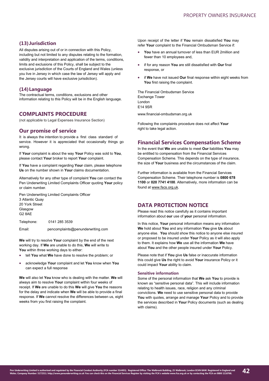# **(13)Jurisdiction**

All disputes arising out of or in connection with this Policy, including but not limited to any disputes relating to the formation, validity and interpretation and application of the terms, conditions, limits and exclusions of this Policy, shall be subject to the exclusive jurisdiction of the Courts of England and Wales (unless you live in Jersey in which case the law of Jersey will apply and the Jersey courts will have exclusive jurisdiction).

# **(14)Language**

The contractual terms, conditions, exclusions and other information relating to this Policy will be in the English language.

# **COMPLAINTS PROCEDURE**

(not applicable to Legal Expenses Insurance Section)

# **Our promise of service**

It is always the intention to provide a first class standard of service. However it is appreciated that occasionally things go wrong.

If **Your** complaint is about the way **Your** Policy was sold to **You**, please contact **Your** broker to report **Your** complaint.

If **You** have a complaint regarding **Your** claim, please telephone **Us** on the number shown in **Your** claims documentation.

Alternatively for any other type of complaint **You** can contact the Pen Underwriting Limited Complaints Officer quoting **Your** policy or claim number.

Pen Underwriting Limited Complaints Officer 3 Atlantic Quay 20 York Street Glasgow G2 8AE

Telephone: 0141 285 3539

Email: [pencomplaints@penunderwriting.com](mailto:pencomplaints@penunderwriting.com)

**We** will try to resolve **Your** complaint by the end of the next working day. If **We** are unable to do this, **We** will write to You within three working days to either:

- tell **You** what **We** have done to resolve the problem; or
- acknowledge **Your** complaint and let **You** know when **You** can expect a full response

**We** will also let **You** know who is dealing with the matter. **We** will always aim to resolve **Your** complaint within four weeks of receipt. If **We** are unable to do this **We** will give **You** the reasons for the delay and indicate when **We** will be able to provide a final response. If **We** cannot resolve the differences between us, eight weeks from you first raising the complaint.

Upon receipt of the letter if **You** remain dissatisfied **You** may refer **Your** complaint to the Financial Ombudsman Service if:

- **You** have an annual turnover of less than EUR 2million and fewer than 10 employees and,
- if for any reason **You** are still dissatisfied with **Our** final response, or
- if **We** have not issued **Our** final response within eight weeks from **You** first raising the complaint.

The Financial Ombudsman Service Exchange Tower London E14 9SR

www.financial-ombudsman.org.uk

Following the complaints procedure does not affect **Your** right to take legal action.

# **Financial Services Compensation Scheme**

In the event that **We** are unable to meet **Our** liabilities **You** may be entitled to compensation from the Financial Services Compensation Scheme. This depends on the type of insurance, the size of **Your** business and the circumstances of the claim.

Further information is available from the Financial Services Compensation Scheme. Their telephone number is **0800 678 1100** or **020 7741 4100**. Alternatively, more information can be found at www.fscs.org.uk.

# **DATA PROTECTION NOTICE**

Please read this notice carefully as it contains important information about **our** use of **your** personal information.

In this notice, **Your** personal information means any information **We** hold about **You** and any information **You** give **Us** about anyone else. **You** should show this notice to anyone else insured or proposed to be insured under **Your** Policy as it will also apply to them. It explains how **We** use all the information **We** have about **You** and the other people insured under **Your** Policy.

Please note that if **You** give **Us** false or inaccurate information this could give **Us** the right to avoid **Your** insurance Policy or it could impact **Your** ability to claim.

# **Sensitive information**

Some of the personal information that **We** ask **You** to provide is known as "sensitive personal data". This will include information relating to health issues, race, religion and any criminal convictions. **We** need to use sensitive personal data to provide **You** with quotes, arrange and manage **Your** Policy and to provide the services described in **Your** Policy documents (such as dealing with claims).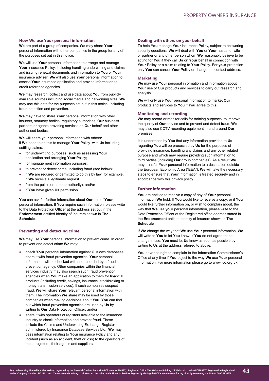## **How We use Your personal information**

**We** are part of a group of companies. **We** may share **Your** personal information with other companies in the group for any of the purposes set out in this notice.

**We** will use **Your** personal information to arrange and manage **Your** insurance Policy, including handling underwriting and claims and issuing renewal documents and information to **You** or **Your** insurance adviser. **We** will also use **Your** personal information to assess **Your** insurance application and provide information to credit reference agencies.

**We** may research, collect and use data about **You** from publicly available sources including social media and networking sites. **We** may use this data for the purposes set out in this notice, including fraud detection and prevention.

**We** may have to share **Your** personal information with other insurers, statutory bodies, regulatory authorities, **Our** business partners or agents providing services on **Our** behalf and other authorised bodies.

**We** will share your personal information with others: if **We** need to do this to manage **Your** Policy with **Us** including settling claims:

- for underwriting purposes, such as assessing **Your** application and arranging **Your** Policy;
- for management information purposes;
- to prevent or detect crime, including fraud (see below);
- if **We** are required or permitted to do this by law (for example, if **We** receive a legitimate request
- from the police or another authority); and/or
- if **You** have given **Us** permission.

**You** can ask for further information about **Our** use of **Your** personal information. If **You** require such information, please write to the Data Protection Officer at the address set out in the **Endorsement** entitled Identity of Insurers shown in **The Schedule**.

# **Preventing and detecting crime**

**We** may use **Your** personal information to prevent crime. In order to prevent and detect crime **We** may:

- check **Your** personal information against **Our** own databases; share it with fraud prevention agencies. **Your** personal information will be checked with and recorded by a fraud prevention agency. Other companies within the financial services industry may also search such fraud prevention agencies when **You** make an application to them for financial products (including credit, savings, insurance, stockbroking or money transmission services). If such companies suspect fraud, **We** will share **Your** relevant personal information with them. The information **We** share may be used by those companies when making decisions about **You**. **You** can find out which fraud prevention agencies are used by **Us** by writing to **Our** Data Protection Officer; and/or
- share it with operators of registers available to the insurance industry to check information and prevent fraud. These include the Claims and Underwriting Exchange Register administered by Insurance Database Services Ltd. **We** may pass information relating to **Your** insurance Policy and any incident (such as an accident, theft or loss) to the operators of these registers, their agents and suppliers.

#### **Dealing with others on your behalf**

To help **You** manage **Your** insurance Policy, subject to answering security questions, **We** will deal with **You** or **Your** husband, wife or partner or any other person whom **We** reasonably believe to be acting for **You** if they call **Us** on **Your** behalf in connection with **Your** Policy or a claim relating to **Your** Policy. For **your** protection only **You** can cancel **Your** Policy or change the contact address.

# **Marketing**

**We** may use **Your** personal information and information about **Your** use of **Our** products and services to carry out research and analysis.

**We** will only use **Your** personal information to market **Our** products and services to **You** if **You** agree to this.

#### **Monitoring and recording**

**We** may record or monitor calls for training purposes, to improve the quality of **Our** service and to prevent and detect fraud. **We** may also use CCTV recording equipment in and around **Our** premises.

It is understood by **You** that any information provided to **Us** regarding **You** will be processed by **Us** for the purposes of providing insurance, handling any claims and any other related purpose and which may require providing such information to third parties (including **Our** group companies). As a result **We** may transfer **Your** personal information to a destination outside the European Economic Area ("EEA"). **We** will take the necessary steps to ensure that **Your** information is treated securely and in accordance with this privacy policy

#### **Further information**

**You** are entitled to receive a copy of any of **Your** personal information **We** hold. If **You** would like to receive a copy, or if **You** would like further information on, or wish to complain about, the way that **We** use **your** personal information, please write to the Data Protection Officer at the Registered office address stated in the **Endorsement** entitled Identity of Insurers shown in **The Schedule**

If **We** change the way that **We** use **Your** personal information, **We** will write to **You** to let **You** know. If **You** do not agree to that change in use, **You** must let **Us** know as soon as possible by writing to **Us** at the address referred to above.

**You** have the right to complain to the Information Commissioner's Office at any time if **You** object to the way **We** use **Your** personal information. For more information please go to www.ico.org.uk.